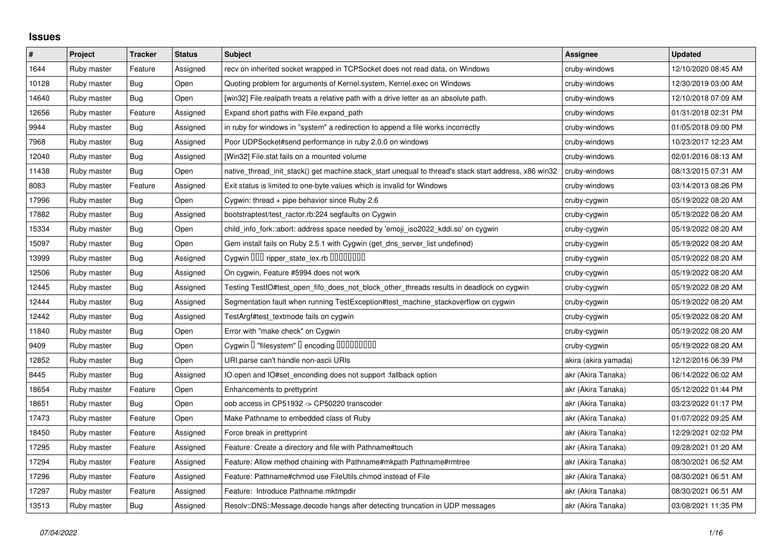## **Issues**

| $\#$  | Project     | <b>Tracker</b> | <b>Status</b> | <b>Subject</b>                                                                                        | Assignee             | <b>Updated</b>      |
|-------|-------------|----------------|---------------|-------------------------------------------------------------------------------------------------------|----------------------|---------------------|
| 1644  | Ruby master | Feature        | Assigned      | recv on inherited socket wrapped in TCPSocket does not read data, on Windows                          | cruby-windows        | 12/10/2020 08:45 AM |
| 10128 | Ruby master | Bug            | Open          | Quoting problem for arguments of Kernel.system, Kernel.exec on Windows                                | cruby-windows        | 12/30/2019 03:00 AM |
| 14640 | Ruby master | Bug            | Open          | [win32] File.realpath treats a relative path with a drive letter as an absolute path.                 | cruby-windows        | 12/10/2018 07:09 AM |
| 12656 | Ruby master | Feature        | Assigned      | Expand short paths with File.expand path                                                              | cruby-windows        | 01/31/2018 02:31 PM |
| 9944  | Ruby master | <b>Bug</b>     | Assigned      | in ruby for windows in "system" a redirection to append a file works incorrectly                      | cruby-windows        | 01/05/2018 09:00 PM |
| 7968  | Ruby master | Bug            | Assigned      | Poor UDPSocket#send performance in ruby 2.0.0 on windows                                              | cruby-windows        | 10/23/2017 12:23 AM |
| 12040 | Ruby master | Bug            | Assigned      | [Win32] File.stat fails on a mounted volume                                                           | cruby-windows        | 02/01/2016 08:13 AM |
| 11438 | Ruby master | Bug            | Open          | native_thread_init_stack() get machine.stack_start unequal to thread's stack start address, x86 win32 | cruby-windows        | 08/13/2015 07:31 AM |
| 8083  | Ruby master | Feature        | Assigned      | Exit status is limited to one-byte values which is invalid for Windows                                | cruby-windows        | 03/14/2013 08:26 PM |
| 17996 | Ruby master | Bug            | Open          | Cygwin: thread + pipe behavior since Ruby 2.6                                                         | cruby-cygwin         | 05/19/2022 08:20 AM |
| 17882 | Ruby master | Bug            | Assigned      | bootstraptest/test_ractor.rb:224 segfaults on Cygwin                                                  | cruby-cygwin         | 05/19/2022 08:20 AM |
| 15334 | Ruby master | <b>Bug</b>     | Open          | child_info_fork::abort: address space needed by 'emoji_iso2022_kddi.so' on cygwin                     | cruby-cygwin         | 05/19/2022 08:20 AM |
| 15097 | Ruby master | <b>Bug</b>     | Open          | Gem install fails on Ruby 2.5.1 with Cygwin (get_dns_server_list undefined)                           | cruby-cygwin         | 05/19/2022 08:20 AM |
| 13999 | Ruby master | Bug            | Assigned      | Cygwin OOO ripper_state_lex.rb 0000000                                                                | cruby-cygwin         | 05/19/2022 08:20 AM |
| 12506 | Ruby master | <b>Bug</b>     | Assigned      | On cygwin, Feature #5994 does not work                                                                | cruby-cygwin         | 05/19/2022 08:20 AM |
| 12445 | Ruby master | Bug            | Assigned      | Testing TestIO#test_open_fifo_does_not_block_other_threads results in deadlock on cygwin              | cruby-cygwin         | 05/19/2022 08:20 AM |
| 12444 | Ruby master | Bug            | Assigned      | Segmentation fault when running TestException#test_machine_stackoverflow on cygwin                    | cruby-cygwin         | 05/19/2022 08:20 AM |
| 12442 | Ruby master | Bug            | Assigned      | TestArgf#test textmode fails on cygwin                                                                | cruby-cygwin         | 05/19/2022 08:20 AM |
| 11840 | Ruby master | <b>Bug</b>     | Open          | Error with "make check" on Cygwin                                                                     | cruby-cygwin         | 05/19/2022 08:20 AM |
| 9409  | Ruby master | Bug            | Open          | Cygwin I "filesystem" I encoding IIIIIIIIIIIII                                                        | cruby-cygwin         | 05/19/2022 08:20 AM |
| 12852 | Ruby master | Bug            | Open          | URI.parse can't handle non-ascii URIs                                                                 | akira (akira yamada) | 12/12/2016 06:39 PM |
| 8445  | Ruby master | Bug            | Assigned      | IO.open and IO#set_enconding does not support :fallback option                                        | akr (Akira Tanaka)   | 06/14/2022 06:02 AM |
| 18654 | Ruby master | Feature        | Open          | Enhancements to prettyprint                                                                           | akr (Akira Tanaka)   | 05/12/2022 01:44 PM |
| 18651 | Ruby master | Bug            | Open          | oob access in CP51932 -> CP50220 transcoder                                                           | akr (Akira Tanaka)   | 03/23/2022 01:17 PM |
| 17473 | Ruby master | Feature        | Open          | Make Pathname to embedded class of Ruby                                                               | akr (Akira Tanaka)   | 01/07/2022 09:25 AM |
| 18450 | Ruby master | Feature        | Assigned      | Force break in prettyprint                                                                            | akr (Akira Tanaka)   | 12/29/2021 02:02 PM |
| 17295 | Ruby master | Feature        | Assigned      | Feature: Create a directory and file with Pathname#touch                                              | akr (Akira Tanaka)   | 09/28/2021 01:20 AM |
| 17294 | Ruby master | Feature        | Assigned      | Feature: Allow method chaining with Pathname#mkpath Pathname#rmtree                                   | akr (Akira Tanaka)   | 08/30/2021 06:52 AM |
| 17296 | Ruby master | Feature        | Assigned      | Feature: Pathname#chmod use FileUtils.chmod instead of File                                           | akr (Akira Tanaka)   | 08/30/2021 06:51 AM |
| 17297 | Ruby master | Feature        | Assigned      | Feature: Introduce Pathname.mktmpdir                                                                  | akr (Akira Tanaka)   | 08/30/2021 06:51 AM |
| 13513 | Ruby master | Bug            | Assigned      | Resolv::DNS::Message.decode hangs after detecting truncation in UDP messages                          | akr (Akira Tanaka)   | 03/08/2021 11:35 PM |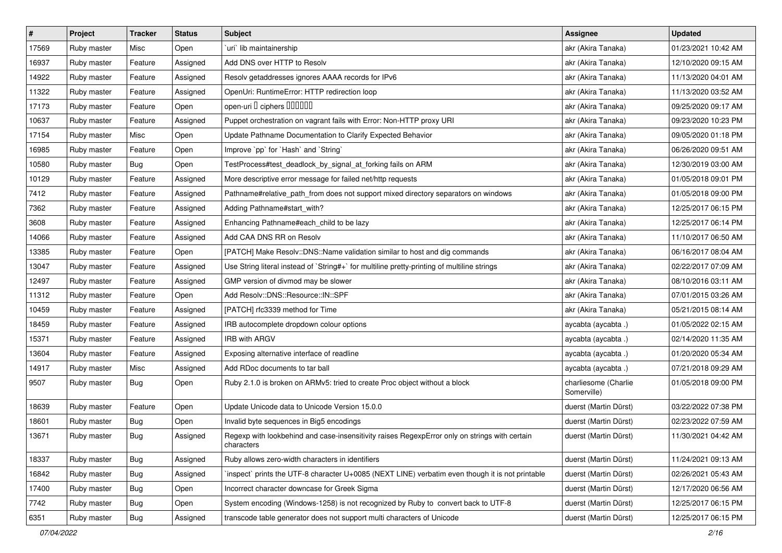| $\vert$ # | Project     | Tracker    | <b>Status</b> | <b>Subject</b>                                                                                              | <b>Assignee</b>                     | <b>Updated</b>      |
|-----------|-------------|------------|---------------|-------------------------------------------------------------------------------------------------------------|-------------------------------------|---------------------|
| 17569     | Ruby master | Misc       | Open          | uri lib maintainership                                                                                      | akr (Akira Tanaka)                  | 01/23/2021 10:42 AM |
| 16937     | Ruby master | Feature    | Assigned      | Add DNS over HTTP to Resolv                                                                                 | akr (Akira Tanaka)                  | 12/10/2020 09:15 AM |
| 14922     | Ruby master | Feature    | Assigned      | Resolv getaddresses ignores AAAA records for IPv6                                                           | akr (Akira Tanaka)                  | 11/13/2020 04:01 AM |
| 11322     | Ruby master | Feature    | Assigned      | OpenUri: RuntimeError: HTTP redirection loop                                                                | akr (Akira Tanaka)                  | 11/13/2020 03:52 AM |
| 17173     | Ruby master | Feature    | Open          | open-uri I ciphers IIIIIII                                                                                  | akr (Akira Tanaka)                  | 09/25/2020 09:17 AM |
| 10637     | Ruby master | Feature    | Assigned      | Puppet orchestration on vagrant fails with Error: Non-HTTP proxy URI                                        | akr (Akira Tanaka)                  | 09/23/2020 10:23 PM |
| 17154     | Ruby master | Misc       | Open          | Update Pathname Documentation to Clarify Expected Behavior                                                  | akr (Akira Tanaka)                  | 09/05/2020 01:18 PM |
| 16985     | Ruby master | Feature    | Open          | Improve `pp` for `Hash` and `String`                                                                        | akr (Akira Tanaka)                  | 06/26/2020 09:51 AM |
| 10580     | Ruby master | Bug        | Open          | TestProcess#test_deadlock_by_signal_at_forking fails on ARM                                                 | akr (Akira Tanaka)                  | 12/30/2019 03:00 AM |
| 10129     | Ruby master | Feature    | Assigned      | More descriptive error message for failed net/http requests                                                 | akr (Akira Tanaka)                  | 01/05/2018 09:01 PM |
| 7412      | Ruby master | Feature    | Assigned      | Pathname#relative_path_from does not support mixed directory separators on windows                          | akr (Akira Tanaka)                  | 01/05/2018 09:00 PM |
| 7362      | Ruby master | Feature    | Assigned      | Adding Pathname#start_with?                                                                                 | akr (Akira Tanaka)                  | 12/25/2017 06:15 PM |
| 3608      | Ruby master | Feature    | Assigned      | Enhancing Pathname#each_child to be lazy                                                                    | akr (Akira Tanaka)                  | 12/25/2017 06:14 PM |
| 14066     | Ruby master | Feature    | Assigned      | Add CAA DNS RR on Resolv                                                                                    | akr (Akira Tanaka)                  | 11/10/2017 06:50 AM |
| 13385     | Ruby master | Feature    | Open          | [PATCH] Make Resolv::DNS::Name validation similar to host and dig commands                                  | akr (Akira Tanaka)                  | 06/16/2017 08:04 AM |
| 13047     | Ruby master | Feature    | Assigned      | Use String literal instead of `String#+` for multiline pretty-printing of multiline strings                 | akr (Akira Tanaka)                  | 02/22/2017 07:09 AM |
| 12497     | Ruby master | Feature    | Assigned      | GMP version of divmod may be slower                                                                         | akr (Akira Tanaka)                  | 08/10/2016 03:11 AM |
| 11312     | Ruby master | Feature    | Open          | Add Resolv::DNS::Resource::IN::SPF                                                                          | akr (Akira Tanaka)                  | 07/01/2015 03:26 AM |
| 10459     | Ruby master | Feature    | Assigned      | [PATCH] rfc3339 method for Time                                                                             | akr (Akira Tanaka)                  | 05/21/2015 08:14 AM |
| 18459     | Ruby master | Feature    | Assigned      | IRB autocomplete dropdown colour options                                                                    | aycabta (aycabta.)                  | 01/05/2022 02:15 AM |
| 15371     | Ruby master | Feature    | Assigned      | <b>IRB with ARGV</b>                                                                                        | aycabta (aycabta.)                  | 02/14/2020 11:35 AM |
| 13604     | Ruby master | Feature    | Assigned      | Exposing alternative interface of readline                                                                  | aycabta (aycabta.)                  | 01/20/2020 05:34 AM |
| 14917     | Ruby master | Misc       | Assigned      | Add RDoc documents to tar ball                                                                              | aycabta (aycabta.)                  | 07/21/2018 09:29 AM |
| 9507      | Ruby master | <b>Bug</b> | Open          | Ruby 2.1.0 is broken on ARMv5: tried to create Proc object without a block                                  | charliesome (Charlie<br>Somerville) | 01/05/2018 09:00 PM |
| 18639     | Ruby master | Feature    | Open          | Update Unicode data to Unicode Version 15.0.0                                                               | duerst (Martin Dürst)               | 03/22/2022 07:38 PM |
| 18601     | Ruby master | Bug        | Open          | Invalid byte sequences in Big5 encodings                                                                    | duerst (Martin Dürst)               | 02/23/2022 07:59 AM |
| 13671     | Ruby master | <b>Bug</b> | Assigned      | Regexp with lookbehind and case-insensitivity raises RegexpError only on strings with certain<br>characters | duerst (Martin Dürst)               | 11/30/2021 04:42 AM |
| 18337     | Ruby master | <b>Bug</b> | Assigned      | Ruby allows zero-width characters in identifiers                                                            | duerst (Martin Dürst)               | 11/24/2021 09:13 AM |
| 16842     | Ruby master | <b>Bug</b> | Assigned      | 'inspect' prints the UTF-8 character U+0085 (NEXT LINE) verbatim even though it is not printable            | duerst (Martin Dürst)               | 02/26/2021 05:43 AM |
| 17400     | Ruby master | Bug        | Open          | Incorrect character downcase for Greek Sigma                                                                | duerst (Martin Dürst)               | 12/17/2020 06:56 AM |
| 7742      | Ruby master | Bug        | Open          | System encoding (Windows-1258) is not recognized by Ruby to convert back to UTF-8                           | duerst (Martin Dürst)               | 12/25/2017 06:15 PM |
| 6351      | Ruby master | Bug        | Assigned      | transcode table generator does not support multi characters of Unicode                                      | duerst (Martin Dürst)               | 12/25/2017 06:15 PM |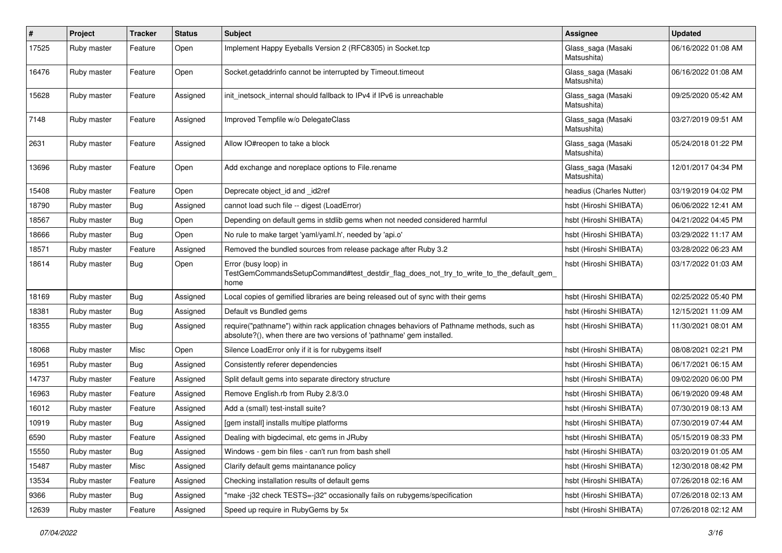| $\pmb{\#}$ | Project     | <b>Tracker</b> | <b>Status</b> | <b>Subject</b>                                                                                                                                                      | Assignee                          | <b>Updated</b>      |
|------------|-------------|----------------|---------------|---------------------------------------------------------------------------------------------------------------------------------------------------------------------|-----------------------------------|---------------------|
| 17525      | Ruby master | Feature        | Open          | Implement Happy Eyeballs Version 2 (RFC8305) in Socket.tcp                                                                                                          | Glass_saga (Masaki<br>Matsushita) | 06/16/2022 01:08 AM |
| 16476      | Ruby master | Feature        | Open          | Socket.getaddrinfo cannot be interrupted by Timeout.timeout                                                                                                         | Glass_saga (Masaki<br>Matsushita) | 06/16/2022 01:08 AM |
| 15628      | Ruby master | Feature        | Assigned      | init inetsock internal should fallback to IPv4 if IPv6 is unreachable                                                                                               | Glass_saga (Masaki<br>Matsushita) | 09/25/2020 05:42 AM |
| 7148       | Ruby master | Feature        | Assigned      | Improved Tempfile w/o DelegateClass                                                                                                                                 | Glass_saga (Masaki<br>Matsushita) | 03/27/2019 09:51 AM |
| 2631       | Ruby master | Feature        | Assigned      | Allow IO#reopen to take a block                                                                                                                                     | Glass_saga (Masaki<br>Matsushita) | 05/24/2018 01:22 PM |
| 13696      | Ruby master | Feature        | Open          | Add exchange and noreplace options to File.rename                                                                                                                   | Glass_saga (Masaki<br>Matsushita) | 12/01/2017 04:34 PM |
| 15408      | Ruby master | Feature        | Open          | Deprecate object_id and _id2ref                                                                                                                                     | headius (Charles Nutter)          | 03/19/2019 04:02 PM |
| 18790      | Ruby master | Bug            | Assigned      | cannot load such file -- digest (LoadError)                                                                                                                         | hsbt (Hiroshi SHIBATA)            | 06/06/2022 12:41 AM |
| 18567      | Ruby master | Bug            | Open          | Depending on default gems in stdlib gems when not needed considered harmful                                                                                         | hsbt (Hiroshi SHIBATA)            | 04/21/2022 04:45 PM |
| 18666      | Ruby master | Bug            | Open          | No rule to make target 'yaml/yaml.h', needed by 'api.o'                                                                                                             | hsbt (Hiroshi SHIBATA)            | 03/29/2022 11:17 AM |
| 18571      | Ruby master | Feature        | Assigned      | Removed the bundled sources from release package after Ruby 3.2                                                                                                     | hsbt (Hiroshi SHIBATA)            | 03/28/2022 06:23 AM |
| 18614      | Ruby master | Bug            | Open          | Error (busy loop) in<br>TestGemCommandsSetupCommand#test_destdir_flag_does_not_try_to_write_to_the_default_gem_<br>home                                             | hsbt (Hiroshi SHIBATA)            | 03/17/2022 01:03 AM |
| 18169      | Ruby master | Bug            | Assigned      | Local copies of gemified libraries are being released out of sync with their gems                                                                                   | hsbt (Hiroshi SHIBATA)            | 02/25/2022 05:40 PM |
| 18381      | Ruby master | Bug            | Assigned      | Default vs Bundled gems                                                                                                                                             | hsbt (Hiroshi SHIBATA)            | 12/15/2021 11:09 AM |
| 18355      | Ruby master | Bug            | Assigned      | require("pathname") within rack application chnages behaviors of Pathname methods, such as<br>absolute?(), when there are two versions of 'pathname' gem installed. | hsbt (Hiroshi SHIBATA)            | 11/30/2021 08:01 AM |
| 18068      | Ruby master | Misc           | Open          | Silence LoadError only if it is for rubygems itself                                                                                                                 | hsbt (Hiroshi SHIBATA)            | 08/08/2021 02:21 PM |
| 16951      | Ruby master | Bug            | Assigned      | Consistently referer dependencies                                                                                                                                   | hsbt (Hiroshi SHIBATA)            | 06/17/2021 06:15 AM |
| 14737      | Ruby master | Feature        | Assigned      | Split default gems into separate directory structure                                                                                                                | hsbt (Hiroshi SHIBATA)            | 09/02/2020 06:00 PM |
| 16963      | Ruby master | Feature        | Assigned      | Remove English.rb from Ruby 2.8/3.0                                                                                                                                 | hsbt (Hiroshi SHIBATA)            | 06/19/2020 09:48 AM |
| 16012      | Ruby master | Feature        | Assigned      | Add a (small) test-install suite?                                                                                                                                   | hsbt (Hiroshi SHIBATA)            | 07/30/2019 08:13 AM |
| 10919      | Ruby master | <b>Bug</b>     | Assigned      | [gem install] installs multipe platforms                                                                                                                            | hsbt (Hiroshi SHIBATA)            | 07/30/2019 07:44 AM |
| 6590       | Ruby master | Feature        | Assigned      | Dealing with bigdecimal, etc gems in JRuby                                                                                                                          | hsbt (Hiroshi SHIBATA)            | 05/15/2019 08:33 PM |
| 15550      | Ruby master | Bug            | Assigned      | Windows - gem bin files - can't run from bash shell                                                                                                                 | hsbt (Hiroshi SHIBATA)            | 03/20/2019 01:05 AM |
| 15487      | Ruby master | Misc           | Assigned      | Clarify default gems maintanance policy                                                                                                                             | hsbt (Hiroshi SHIBATA)            | 12/30/2018 08:42 PM |
| 13534      | Ruby master | Feature        | Assigned      | Checking installation results of default gems                                                                                                                       | hsbt (Hiroshi SHIBATA)            | 07/26/2018 02:16 AM |
| 9366       | Ruby master | Bug            | Assigned      | "make-j32 check TESTS=-j32" occasionally fails on rubygems/specification                                                                                            | hsbt (Hiroshi SHIBATA)            | 07/26/2018 02:13 AM |
| 12639      | Ruby master | Feature        | Assigned      | Speed up require in RubyGems by 5x                                                                                                                                  | hsbt (Hiroshi SHIBATA)            | 07/26/2018 02:12 AM |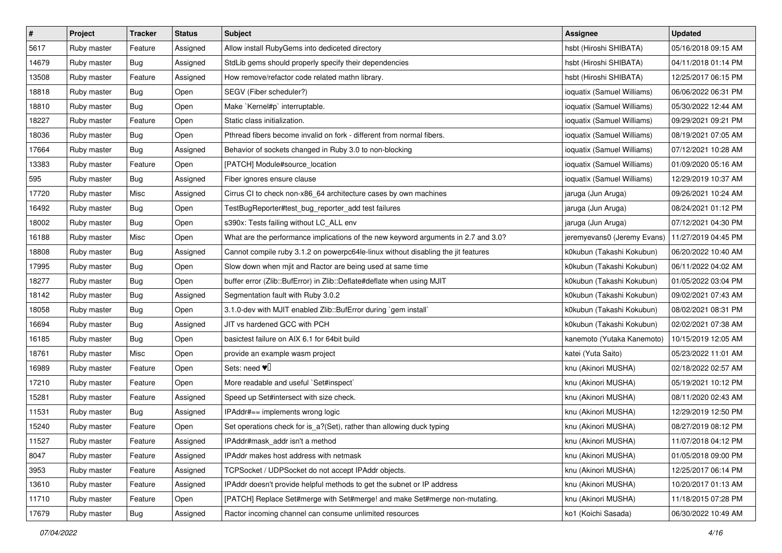| $\pmb{\#}$ | Project     | <b>Tracker</b> | <b>Status</b> | <b>Subject</b>                                                                     | <b>Assignee</b>             | <b>Updated</b>      |
|------------|-------------|----------------|---------------|------------------------------------------------------------------------------------|-----------------------------|---------------------|
| 5617       | Ruby master | Feature        | Assigned      | Allow install RubyGems into dediceted directory                                    | hsbt (Hiroshi SHIBATA)      | 05/16/2018 09:15 AM |
| 14679      | Ruby master | Bug            | Assigned      | StdLib gems should properly specify their dependencies                             | hsbt (Hiroshi SHIBATA)      | 04/11/2018 01:14 PM |
| 13508      | Ruby master | Feature        | Assigned      | How remove/refactor code related mathn library.                                    | hsbt (Hiroshi SHIBATA)      | 12/25/2017 06:15 PM |
| 18818      | Ruby master | <b>Bug</b>     | Open          | SEGV (Fiber scheduler?)                                                            | ioquatix (Samuel Williams)  | 06/06/2022 06:31 PM |
| 18810      | Ruby master | Bug            | Open          | Make `Kernel#p` interruptable.                                                     | ioquatix (Samuel Williams)  | 05/30/2022 12:44 AM |
| 18227      | Ruby master | Feature        | Open          | Static class initialization.                                                       | ioquatix (Samuel Williams)  | 09/29/2021 09:21 PM |
| 18036      | Ruby master | Bug            | Open          | Pthread fibers become invalid on fork - different from normal fibers.              | ioquatix (Samuel Williams)  | 08/19/2021 07:05 AM |
| 17664      | Ruby master | Bug            | Assigned      | Behavior of sockets changed in Ruby 3.0 to non-blocking                            | ioquatix (Samuel Williams)  | 07/12/2021 10:28 AM |
| 13383      | Ruby master | Feature        | Open          | [PATCH] Module#source_location                                                     | ioquatix (Samuel Williams)  | 01/09/2020 05:16 AM |
| 595        | Ruby master | Bug            | Assigned      | Fiber ignores ensure clause                                                        | ioquatix (Samuel Williams)  | 12/29/2019 10:37 AM |
| 17720      | Ruby master | Misc           | Assigned      | Cirrus CI to check non-x86_64 architecture cases by own machines                   | jaruga (Jun Aruga)          | 09/26/2021 10:24 AM |
| 16492      | Ruby master | Bug            | Open          | TestBugReporter#test_bug_reporter_add test failures                                | jaruga (Jun Aruga)          | 08/24/2021 01:12 PM |
| 18002      | Ruby master | Bug            | Open          | s390x: Tests failing without LC_ALL env                                            | jaruga (Jun Aruga)          | 07/12/2021 04:30 PM |
| 16188      | Ruby master | Misc           | Open          | What are the performance implications of the new keyword arguments in 2.7 and 3.0? | jeremyevans0 (Jeremy Evans) | 11/27/2019 04:45 PM |
| 18808      | Ruby master | <b>Bug</b>     | Assigned      | Cannot compile ruby 3.1.2 on powerpc64le-linux without disabling the jit features  | k0kubun (Takashi Kokubun)   | 06/20/2022 10:40 AM |
| 17995      | Ruby master | Bug            | Open          | Slow down when mjit and Ractor are being used at same time                         | k0kubun (Takashi Kokubun)   | 06/11/2022 04:02 AM |
| 18277      | Ruby master | <b>Bug</b>     | Open          | buffer error (Zlib::BufError) in Zlib::Deflate#deflate when using MJIT             | k0kubun (Takashi Kokubun)   | 01/05/2022 03:04 PM |
| 18142      | Ruby master | Bug            | Assigned      | Segmentation fault with Ruby 3.0.2                                                 | k0kubun (Takashi Kokubun)   | 09/02/2021 07:43 AM |
| 18058      | Ruby master | <b>Bug</b>     | Open          | 3.1.0-dev with MJIT enabled Zlib::BufError during `gem install`                    | k0kubun (Takashi Kokubun)   | 08/02/2021 08:31 PM |
| 16694      | Ruby master | Bug            | Assigned      | JIT vs hardened GCC with PCH                                                       | k0kubun (Takashi Kokubun)   | 02/02/2021 07:38 AM |
| 16185      | Ruby master | Bug            | Open          | basictest failure on AIX 6.1 for 64bit build                                       | kanemoto (Yutaka Kanemoto)  | 10/15/2019 12:05 AM |
| 18761      | Ruby master | Misc           | Open          | provide an example wasm project                                                    | katei (Yuta Saito)          | 05/23/2022 11:01 AM |
| 16989      | Ruby master | Feature        | Open          | Sets: need $\Psi$ <sup>[]</sup>                                                    | knu (Akinori MUSHA)         | 02/18/2022 02:57 AM |
| 17210      | Ruby master | Feature        | Open          | More readable and useful `Set#inspect`                                             | knu (Akinori MUSHA)         | 05/19/2021 10:12 PM |
| 15281      | Ruby master | Feature        | Assigned      | Speed up Set#intersect with size check.                                            | knu (Akinori MUSHA)         | 08/11/2020 02:43 AM |
| 11531      | Ruby master | Bug            | Assigned      | IPAddr#== implements wrong logic                                                   | knu (Akinori MUSHA)         | 12/29/2019 12:50 PM |
| 15240      | Ruby master | Feature        | Open          | Set operations check for is_a?(Set), rather than allowing duck typing              | knu (Akinori MUSHA)         | 08/27/2019 08:12 PM |
| 11527      | Ruby master | Feature        | Assigned      | IPAddr#mask_addr isn't a method                                                    | knu (Akinori MUSHA)         | 11/07/2018 04:12 PM |
| 8047       | Ruby master | Feature        | Assigned      | IPAddr makes host address with netmask                                             | knu (Akinori MUSHA)         | 01/05/2018 09:00 PM |
| 3953       | Ruby master | Feature        | Assigned      | TCPSocket / UDPSocket do not accept IPAddr objects.                                | knu (Akinori MUSHA)         | 12/25/2017 06:14 PM |
| 13610      | Ruby master | Feature        | Assigned      | IPAddr doesn't provide helpful methods to get the subnet or IP address             | knu (Akinori MUSHA)         | 10/20/2017 01:13 AM |
| 11710      | Ruby master | Feature        | Open          | [PATCH] Replace Set#merge with Set#merge! and make Set#merge non-mutating.         | knu (Akinori MUSHA)         | 11/18/2015 07:28 PM |
| 17679      | Ruby master | <b>Bug</b>     | Assigned      | Ractor incoming channel can consume unlimited resources                            | ko1 (Koichi Sasada)         | 06/30/2022 10:49 AM |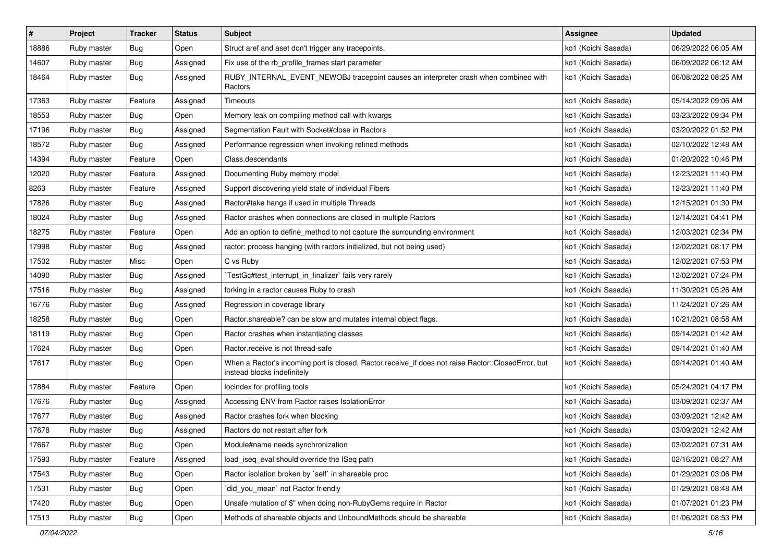| $\sharp$ | Project     | <b>Tracker</b> | <b>Status</b> | <b>Subject</b>                                                                                                                    | Assignee            | <b>Updated</b>      |
|----------|-------------|----------------|---------------|-----------------------------------------------------------------------------------------------------------------------------------|---------------------|---------------------|
| 18886    | Ruby master | <b>Bug</b>     | Open          | Struct aref and aset don't trigger any tracepoints.                                                                               | ko1 (Koichi Sasada) | 06/29/2022 06:05 AM |
| 14607    | Ruby master | Bug            | Assigned      | Fix use of the rb_profile_frames start parameter                                                                                  | ko1 (Koichi Sasada) | 06/09/2022 06:12 AM |
| 18464    | Ruby master | Bug            | Assigned      | RUBY_INTERNAL_EVENT_NEWOBJ tracepoint causes an interpreter crash when combined with<br>Ractors                                   | ko1 (Koichi Sasada) | 06/08/2022 08:25 AM |
| 17363    | Ruby master | Feature        | Assigned      | Timeouts                                                                                                                          | ko1 (Koichi Sasada) | 05/14/2022 09:06 AM |
| 18553    | Ruby master | Bug            | Open          | Memory leak on compiling method call with kwargs                                                                                  | ko1 (Koichi Sasada) | 03/23/2022 09:34 PM |
| 17196    | Ruby master | <b>Bug</b>     | Assigned      | Segmentation Fault with Socket#close in Ractors                                                                                   | ko1 (Koichi Sasada) | 03/20/2022 01:52 PM |
| 18572    | Ruby master | <b>Bug</b>     | Assigned      | Performance regression when invoking refined methods                                                                              | ko1 (Koichi Sasada) | 02/10/2022 12:48 AM |
| 14394    | Ruby master | Feature        | Open          | Class.descendants                                                                                                                 | ko1 (Koichi Sasada) | 01/20/2022 10:46 PM |
| 12020    | Ruby master | Feature        | Assigned      | Documenting Ruby memory model                                                                                                     | ko1 (Koichi Sasada) | 12/23/2021 11:40 PM |
| 8263     | Ruby master | Feature        | Assigned      | Support discovering yield state of individual Fibers                                                                              | ko1 (Koichi Sasada) | 12/23/2021 11:40 PM |
| 17826    | Ruby master | Bug            | Assigned      | Ractor#take hangs if used in multiple Threads                                                                                     | ko1 (Koichi Sasada) | 12/15/2021 01:30 PM |
| 18024    | Ruby master | Bug            | Assigned      | Ractor crashes when connections are closed in multiple Ractors                                                                    | ko1 (Koichi Sasada) | 12/14/2021 04:41 PM |
| 18275    | Ruby master | Feature        | Open          | Add an option to define_method to not capture the surrounding environment                                                         | ko1 (Koichi Sasada) | 12/03/2021 02:34 PM |
| 17998    | Ruby master | Bug            | Assigned      | ractor: process hanging (with ractors initialized, but not being used)                                                            | ko1 (Koichi Sasada) | 12/02/2021 08:17 PM |
| 17502    | Ruby master | Misc           | Open          | C vs Ruby                                                                                                                         | ko1 (Koichi Sasada) | 12/02/2021 07:53 PM |
| 14090    | Ruby master | Bug            | Assigned      | TestGc#test_interrupt_in_finalizer` fails very rarely                                                                             | ko1 (Koichi Sasada) | 12/02/2021 07:24 PM |
| 17516    | Ruby master | Bug            | Assigned      | forking in a ractor causes Ruby to crash                                                                                          | ko1 (Koichi Sasada) | 11/30/2021 05:26 AM |
| 16776    | Ruby master | Bug            | Assigned      | Regression in coverage library                                                                                                    | ko1 (Koichi Sasada) | 11/24/2021 07:26 AM |
| 18258    | Ruby master | Bug            | Open          | Ractor shareable? can be slow and mutates internal object flags.                                                                  | ko1 (Koichi Sasada) | 10/21/2021 08:58 AM |
| 18119    | Ruby master | Bug            | Open          | Ractor crashes when instantiating classes                                                                                         | ko1 (Koichi Sasada) | 09/14/2021 01:42 AM |
| 17624    | Ruby master | Bug            | Open          | Ractor.receive is not thread-safe                                                                                                 | ko1 (Koichi Sasada) | 09/14/2021 01:40 AM |
| 17617    | Ruby master | Bug            | Open          | When a Ractor's incoming port is closed, Ractor.receive_if does not raise Ractor::ClosedError, but<br>instead blocks indefinitely | ko1 (Koichi Sasada) | 09/14/2021 01:40 AM |
| 17884    | Ruby master | Feature        | Open          | locindex for profiling tools                                                                                                      | ko1 (Koichi Sasada) | 05/24/2021 04:17 PM |
| 17676    | Ruby master | Bug            | Assigned      | Accessing ENV from Ractor raises IsolationError                                                                                   | ko1 (Koichi Sasada) | 03/09/2021 02:37 AM |
| 17677    | Ruby master | Bug            | Assigned      | Ractor crashes fork when blocking                                                                                                 | ko1 (Koichi Sasada) | 03/09/2021 12:42 AM |
| 17678    | Ruby master | <b>Bug</b>     | Assigned      | Ractors do not restart after fork                                                                                                 | ko1 (Koichi Sasada) | 03/09/2021 12:42 AM |
| 17667    | Ruby master | Bug            | Open          | Module#name needs synchronization                                                                                                 | ko1 (Koichi Sasada) | 03/02/2021 07:31 AM |
| 17593    | Ruby master | Feature        | Assigned      | load_iseq_eval should override the ISeq path                                                                                      | ko1 (Koichi Sasada) | 02/16/2021 08:27 AM |
| 17543    | Ruby master | <b>Bug</b>     | Open          | Ractor isolation broken by `self` in shareable proc                                                                               | ko1 (Koichi Sasada) | 01/29/2021 03:06 PM |
| 17531    | Ruby master | <b>Bug</b>     | Open          | did you mean' not Ractor friendly                                                                                                 | ko1 (Koichi Sasada) | 01/29/2021 08:48 AM |
| 17420    | Ruby master | Bug            | Open          | Unsafe mutation of \$" when doing non-RubyGems require in Ractor                                                                  | ko1 (Koichi Sasada) | 01/07/2021 01:23 PM |
| 17513    | Ruby master | <b>Bug</b>     | Open          | Methods of shareable objects and UnboundMethods should be shareable                                                               | ko1 (Koichi Sasada) | 01/06/2021 08:53 PM |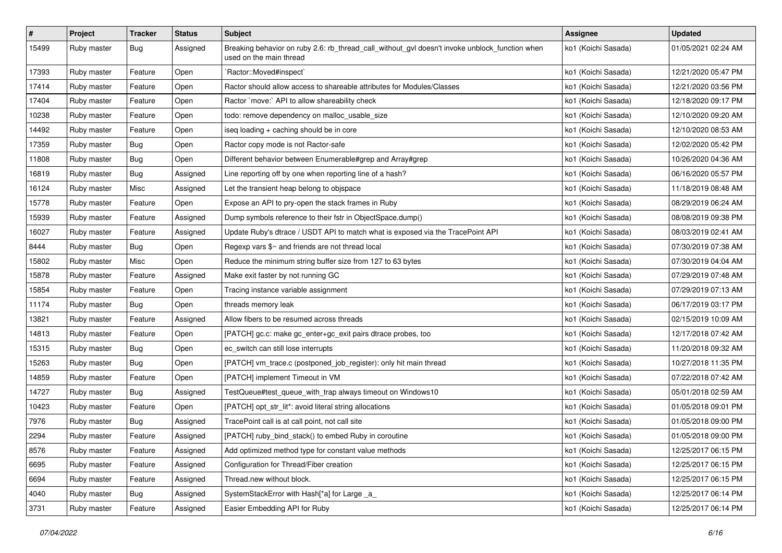| $\pmb{\#}$ | Project     | <b>Tracker</b> | <b>Status</b> | <b>Subject</b>                                                                                                            | <b>Assignee</b>     | <b>Updated</b>      |
|------------|-------------|----------------|---------------|---------------------------------------------------------------------------------------------------------------------------|---------------------|---------------------|
| 15499      | Ruby master | <b>Bug</b>     | Assigned      | Breaking behavior on ruby 2.6: rb_thread_call_without_gvl doesn't invoke unblock_function when<br>used on the main thread | ko1 (Koichi Sasada) | 01/05/2021 02:24 AM |
| 17393      | Ruby master | Feature        | Open          | Ractor::Moved#inspect`                                                                                                    | ko1 (Koichi Sasada) | 12/21/2020 05:47 PM |
| 17414      | Ruby master | Feature        | Open          | Ractor should allow access to shareable attributes for Modules/Classes                                                    | ko1 (Koichi Sasada) | 12/21/2020 03:56 PM |
| 17404      | Ruby master | Feature        | Open          | Ractor `move:` API to allow shareability check                                                                            | ko1 (Koichi Sasada) | 12/18/2020 09:17 PM |
| 10238      | Ruby master | Feature        | Open          | todo: remove dependency on malloc_usable_size                                                                             | ko1 (Koichi Sasada) | 12/10/2020 09:20 AM |
| 14492      | Ruby master | Feature        | Open          | iseq loading + caching should be in core                                                                                  | ko1 (Koichi Sasada) | 12/10/2020 08:53 AM |
| 17359      | Ruby master | Bug            | Open          | Ractor copy mode is not Ractor-safe                                                                                       | ko1 (Koichi Sasada) | 12/02/2020 05:42 PM |
| 11808      | Ruby master | <b>Bug</b>     | Open          | Different behavior between Enumerable#grep and Array#grep                                                                 | ko1 (Koichi Sasada) | 10/26/2020 04:36 AM |
| 16819      | Ruby master | Bug            | Assigned      | Line reporting off by one when reporting line of a hash?                                                                  | ko1 (Koichi Sasada) | 06/16/2020 05:57 PM |
| 16124      | Ruby master | Misc           | Assigned      | Let the transient heap belong to objspace                                                                                 | ko1 (Koichi Sasada) | 11/18/2019 08:48 AM |
| 15778      | Ruby master | Feature        | Open          | Expose an API to pry-open the stack frames in Ruby                                                                        | ko1 (Koichi Sasada) | 08/29/2019 06:24 AM |
| 15939      | Ruby master | Feature        | Assigned      | Dump symbols reference to their fstr in ObjectSpace.dump()                                                                | ko1 (Koichi Sasada) | 08/08/2019 09:38 PM |
| 16027      | Ruby master | Feature        | Assigned      | Update Ruby's dtrace / USDT API to match what is exposed via the TracePoint API                                           | ko1 (Koichi Sasada) | 08/03/2019 02:41 AM |
| 8444       | Ruby master | Bug            | Open          | Regexp vars $\frac{6}{5}$ and friends are not thread local                                                                | ko1 (Koichi Sasada) | 07/30/2019 07:38 AM |
| 15802      | Ruby master | Misc           | Open          | Reduce the minimum string buffer size from 127 to 63 bytes                                                                | ko1 (Koichi Sasada) | 07/30/2019 04:04 AM |
| 15878      | Ruby master | Feature        | Assigned      | Make exit faster by not running GC                                                                                        | ko1 (Koichi Sasada) | 07/29/2019 07:48 AM |
| 15854      | Ruby master | Feature        | Open          | Tracing instance variable assignment                                                                                      | ko1 (Koichi Sasada) | 07/29/2019 07:13 AM |
| 11174      | Ruby master | Bug            | Open          | threads memory leak                                                                                                       | ko1 (Koichi Sasada) | 06/17/2019 03:17 PM |
| 13821      | Ruby master | Feature        | Assigned      | Allow fibers to be resumed across threads                                                                                 | ko1 (Koichi Sasada) | 02/15/2019 10:09 AM |
| 14813      | Ruby master | Feature        | Open          | [PATCH] gc.c: make gc_enter+gc_exit pairs dtrace probes, too                                                              | ko1 (Koichi Sasada) | 12/17/2018 07:42 AM |
| 15315      | Ruby master | Bug            | Open          | ec_switch can still lose interrupts                                                                                       | ko1 (Koichi Sasada) | 11/20/2018 09:32 AM |
| 15263      | Ruby master | <b>Bug</b>     | Open          | [PATCH] vm_trace.c (postponed_job_register): only hit main thread                                                         | ko1 (Koichi Sasada) | 10/27/2018 11:35 PM |
| 14859      | Ruby master | Feature        | Open          | [PATCH] implement Timeout in VM                                                                                           | ko1 (Koichi Sasada) | 07/22/2018 07:42 AM |
| 14727      | Ruby master | Bug            | Assigned      | TestQueue#test_queue_with_trap always timeout on Windows10                                                                | ko1 (Koichi Sasada) | 05/01/2018 02:59 AM |
| 10423      | Ruby master | Feature        | Open          | [PATCH] opt_str_lit*: avoid literal string allocations                                                                    | ko1 (Koichi Sasada) | 01/05/2018 09:01 PM |
| 7976       | Ruby master | <b>Bug</b>     | Assigned      | TracePoint call is at call point, not call site                                                                           | ko1 (Koichi Sasada) | 01/05/2018 09:00 PM |
| 2294       | Ruby master | Feature        | Assigned      | [PATCH] ruby_bind_stack() to embed Ruby in coroutine                                                                      | ko1 (Koichi Sasada) | 01/05/2018 09:00 PM |
| 8576       | Ruby master | Feature        | Assigned      | Add optimized method type for constant value methods                                                                      | ko1 (Koichi Sasada) | 12/25/2017 06:15 PM |
| 6695       | Ruby master | Feature        | Assigned      | Configuration for Thread/Fiber creation                                                                                   | ko1 (Koichi Sasada) | 12/25/2017 06:15 PM |
| 6694       | Ruby master | Feature        | Assigned      | Thread.new without block.                                                                                                 | ko1 (Koichi Sasada) | 12/25/2017 06:15 PM |
| 4040       | Ruby master | <b>Bug</b>     | Assigned      | SystemStackError with Hash[*a] for Large _a_                                                                              | ko1 (Koichi Sasada) | 12/25/2017 06:14 PM |
| 3731       | Ruby master | Feature        | Assigned      | Easier Embedding API for Ruby                                                                                             | ko1 (Koichi Sasada) | 12/25/2017 06:14 PM |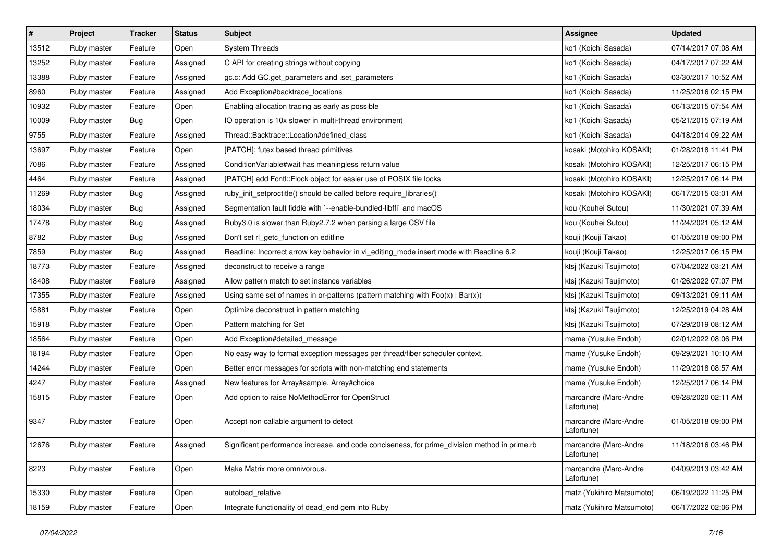| $\vert$ # | Project     | <b>Tracker</b> | <b>Status</b> | <b>Subject</b>                                                                                | Assignee                            | <b>Updated</b>      |
|-----------|-------------|----------------|---------------|-----------------------------------------------------------------------------------------------|-------------------------------------|---------------------|
| 13512     | Ruby master | Feature        | Open          | <b>System Threads</b>                                                                         | ko1 (Koichi Sasada)                 | 07/14/2017 07:08 AM |
| 13252     | Ruby master | Feature        | Assigned      | C API for creating strings without copying                                                    | ko1 (Koichi Sasada)                 | 04/17/2017 07:22 AM |
| 13388     | Ruby master | Feature        | Assigned      | gc.c: Add GC.get_parameters and .set_parameters                                               | ko1 (Koichi Sasada)                 | 03/30/2017 10:52 AM |
| 8960      | Ruby master | Feature        | Assigned      | Add Exception#backtrace_locations                                                             | ko1 (Koichi Sasada)                 | 11/25/2016 02:15 PM |
| 10932     | Ruby master | Feature        | Open          | Enabling allocation tracing as early as possible                                              | ko1 (Koichi Sasada)                 | 06/13/2015 07:54 AM |
| 10009     | Ruby master | <b>Bug</b>     | Open          | IO operation is 10x slower in multi-thread environment                                        | ko1 (Koichi Sasada)                 | 05/21/2015 07:19 AM |
| 9755      | Ruby master | Feature        | Assigned      | Thread::Backtrace::Location#defined class                                                     | ko1 (Koichi Sasada)                 | 04/18/2014 09:22 AM |
| 13697     | Ruby master | Feature        | Open          | [PATCH]: futex based thread primitives                                                        | kosaki (Motohiro KOSAKI)            | 01/28/2018 11:41 PM |
| 7086      | Ruby master | Feature        | Assigned      | Condition Variable#wait has meaningless return value                                          | kosaki (Motohiro KOSAKI)            | 12/25/2017 06:15 PM |
| 4464      | Ruby master | Feature        | Assigned      | [PATCH] add Fcntl::Flock object for easier use of POSIX file locks                            | kosaki (Motohiro KOSAKI)            | 12/25/2017 06:14 PM |
| 11269     | Ruby master | Bug            | Assigned      | ruby_init_setproctitle() should be called before require_libraries()                          | kosaki (Motohiro KOSAKI)            | 06/17/2015 03:01 AM |
| 18034     | Ruby master | <b>Bug</b>     | Assigned      | Segmentation fault fiddle with `--enable-bundled-libffi` and macOS                            | kou (Kouhei Sutou)                  | 11/30/2021 07:39 AM |
| 17478     | Ruby master | Bug            | Assigned      | Ruby3.0 is slower than Ruby2.7.2 when parsing a large CSV file                                | kou (Kouhei Sutou)                  | 11/24/2021 05:12 AM |
| 8782      | Ruby master | <b>Bug</b>     | Assigned      | Don't set rl_getc_function on editline                                                        | kouji (Kouji Takao)                 | 01/05/2018 09:00 PM |
| 7859      | Ruby master | Bug            | Assigned      | Readline: Incorrect arrow key behavior in vi_editing_mode insert mode with Readline 6.2       | kouji (Kouji Takao)                 | 12/25/2017 06:15 PM |
| 18773     | Ruby master | Feature        | Assigned      | deconstruct to receive a range                                                                | ktsj (Kazuki Tsujimoto)             | 07/04/2022 03:21 AM |
| 18408     | Ruby master | Feature        | Assigned      | Allow pattern match to set instance variables                                                 | ktsj (Kazuki Tsujimoto)             | 01/26/2022 07:07 PM |
| 17355     | Ruby master | Feature        | Assigned      | Using same set of names in or-patterns (pattern matching with $Foo(x)   Bar(x)$ )             | ktsj (Kazuki Tsujimoto)             | 09/13/2021 09:11 AM |
| 15881     | Ruby master | Feature        | Open          | Optimize deconstruct in pattern matching                                                      | ktsj (Kazuki Tsujimoto)             | 12/25/2019 04:28 AM |
| 15918     | Ruby master | Feature        | Open          | Pattern matching for Set                                                                      | ktsj (Kazuki Tsujimoto)             | 07/29/2019 08:12 AM |
| 18564     | Ruby master | Feature        | Open          | Add Exception#detailed message                                                                | mame (Yusuke Endoh)                 | 02/01/2022 08:06 PM |
| 18194     | Ruby master | Feature        | Open          | No easy way to format exception messages per thread/fiber scheduler context.                  | mame (Yusuke Endoh)                 | 09/29/2021 10:10 AM |
| 14244     | Ruby master | Feature        | Open          | Better error messages for scripts with non-matching end statements                            | mame (Yusuke Endoh)                 | 11/29/2018 08:57 AM |
| 4247      | Ruby master | Feature        | Assigned      | New features for Array#sample, Array#choice                                                   | mame (Yusuke Endoh)                 | 12/25/2017 06:14 PM |
| 15815     | Ruby master | Feature        | Open          | Add option to raise NoMethodError for OpenStruct                                              | marcandre (Marc-Andre<br>Lafortune) | 09/28/2020 02:11 AM |
| 9347      | Ruby master | Feature        | Open          | Accept non callable argument to detect                                                        | marcandre (Marc-Andre<br>Lafortune) | 01/05/2018 09:00 PM |
| 12676     | Ruby master | Feature        | Assigned      | Significant performance increase, and code conciseness, for prime_division method in prime.rb | marcandre (Marc-Andre<br>Lafortune) | 11/18/2016 03:46 PM |
| 8223      | Ruby master | Feature        | Open          | Make Matrix more omnivorous.                                                                  | marcandre (Marc-Andre<br>Lafortune) | 04/09/2013 03:42 AM |
| 15330     | Ruby master | Feature        | Open          | autoload relative                                                                             | matz (Yukihiro Matsumoto)           | 06/19/2022 11:25 PM |
| 18159     | Ruby master | Feature        | Open          | Integrate functionality of dead_end gem into Ruby                                             | matz (Yukihiro Matsumoto)           | 06/17/2022 02:06 PM |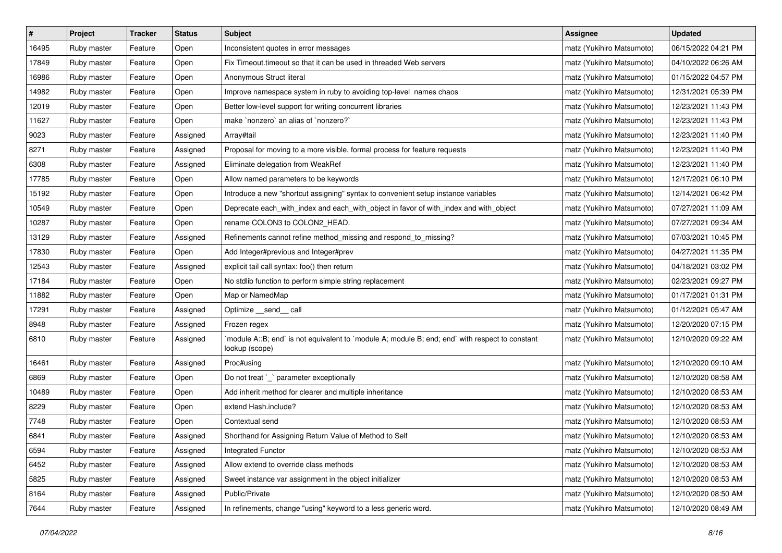| $\sharp$ | Project     | Tracker | <b>Status</b> | <b>Subject</b>                                                                                                   | <b>Assignee</b>           | <b>Updated</b>      |
|----------|-------------|---------|---------------|------------------------------------------------------------------------------------------------------------------|---------------------------|---------------------|
| 16495    | Ruby master | Feature | Open          | Inconsistent quotes in error messages                                                                            | matz (Yukihiro Matsumoto) | 06/15/2022 04:21 PM |
| 17849    | Ruby master | Feature | Open          | Fix Timeout.timeout so that it can be used in threaded Web servers                                               | matz (Yukihiro Matsumoto) | 04/10/2022 06:26 AM |
| 16986    | Ruby master | Feature | Open          | Anonymous Struct literal                                                                                         | matz (Yukihiro Matsumoto) | 01/15/2022 04:57 PM |
| 14982    | Ruby master | Feature | Open          | Improve namespace system in ruby to avoiding top-level names chaos                                               | matz (Yukihiro Matsumoto) | 12/31/2021 05:39 PM |
| 12019    | Ruby master | Feature | Open          | Better low-level support for writing concurrent libraries                                                        | matz (Yukihiro Matsumoto) | 12/23/2021 11:43 PM |
| 11627    | Ruby master | Feature | Open          | make `nonzero` an alias of `nonzero?`                                                                            | matz (Yukihiro Matsumoto) | 12/23/2021 11:43 PM |
| 9023     | Ruby master | Feature | Assigned      | Array#tail                                                                                                       | matz (Yukihiro Matsumoto) | 12/23/2021 11:40 PM |
| 8271     | Ruby master | Feature | Assigned      | Proposal for moving to a more visible, formal process for feature requests                                       | matz (Yukihiro Matsumoto) | 12/23/2021 11:40 PM |
| 6308     | Ruby master | Feature | Assigned      | Eliminate delegation from WeakRef                                                                                | matz (Yukihiro Matsumoto) | 12/23/2021 11:40 PM |
| 17785    | Ruby master | Feature | Open          | Allow named parameters to be keywords                                                                            | matz (Yukihiro Matsumoto) | 12/17/2021 06:10 PM |
| 15192    | Ruby master | Feature | Open          | Introduce a new "shortcut assigning" syntax to convenient setup instance variables                               | matz (Yukihiro Matsumoto) | 12/14/2021 06:42 PM |
| 10549    | Ruby master | Feature | Open          | Deprecate each_with_index and each_with_object in favor of with_index and with_object                            | matz (Yukihiro Matsumoto) | 07/27/2021 11:09 AM |
| 10287    | Ruby master | Feature | Open          | rename COLON3 to COLON2_HEAD.                                                                                    | matz (Yukihiro Matsumoto) | 07/27/2021 09:34 AM |
| 13129    | Ruby master | Feature | Assigned      | Refinements cannot refine method_missing and respond_to_missing?                                                 | matz (Yukihiro Matsumoto) | 07/03/2021 10:45 PM |
| 17830    | Ruby master | Feature | Open          | Add Integer#previous and Integer#prev                                                                            | matz (Yukihiro Matsumoto) | 04/27/2021 11:35 PM |
| 12543    | Ruby master | Feature | Assigned      | explicit tail call syntax: foo() then return                                                                     | matz (Yukihiro Matsumoto) | 04/18/2021 03:02 PM |
| 17184    | Ruby master | Feature | Open          | No stdlib function to perform simple string replacement                                                          | matz (Yukihiro Matsumoto) | 02/23/2021 09:27 PM |
| 11882    | Ruby master | Feature | Open          | Map or NamedMap                                                                                                  | matz (Yukihiro Matsumoto) | 01/17/2021 01:31 PM |
| 17291    | Ruby master | Feature | Assigned      | Optimize __send__ call                                                                                           | matz (Yukihiro Matsumoto) | 01/12/2021 05:47 AM |
| 8948     | Ruby master | Feature | Assigned      | Frozen regex                                                                                                     | matz (Yukihiro Matsumoto) | 12/20/2020 07:15 PM |
| 6810     | Ruby master | Feature | Assigned      | module A::B; end` is not equivalent to `module A; module B; end; end` with respect to constant<br>lookup (scope) | matz (Yukihiro Matsumoto) | 12/10/2020 09:22 AM |
| 16461    | Ruby master | Feature | Assigned      | Proc#using                                                                                                       | matz (Yukihiro Matsumoto) | 12/10/2020 09:10 AM |
| 6869     | Ruby master | Feature | Open          | Do not treat `_` parameter exceptionally                                                                         | matz (Yukihiro Matsumoto) | 12/10/2020 08:58 AM |
| 10489    | Ruby master | Feature | Open          | Add inherit method for clearer and multiple inheritance                                                          | matz (Yukihiro Matsumoto) | 12/10/2020 08:53 AM |
| 8229     | Ruby master | Feature | Open          | extend Hash.include?                                                                                             | matz (Yukihiro Matsumoto) | 12/10/2020 08:53 AM |
| 7748     | Ruby master | Feature | Open          | Contextual send                                                                                                  | matz (Yukihiro Matsumoto) | 12/10/2020 08:53 AM |
| 6841     | Ruby master | Feature | Assigned      | Shorthand for Assigning Return Value of Method to Self                                                           | matz (Yukihiro Matsumoto) | 12/10/2020 08:53 AM |
| 6594     | Ruby master | Feature | Assigned      | <b>Integrated Functor</b>                                                                                        | matz (Yukihiro Matsumoto) | 12/10/2020 08:53 AM |
| 6452     | Ruby master | Feature | Assigned      | Allow extend to override class methods                                                                           | matz (Yukihiro Matsumoto) | 12/10/2020 08:53 AM |
| 5825     | Ruby master | Feature | Assigned      | Sweet instance var assignment in the object initializer                                                          | matz (Yukihiro Matsumoto) | 12/10/2020 08:53 AM |
| 8164     | Ruby master | Feature | Assigned      | Public/Private                                                                                                   | matz (Yukihiro Matsumoto) | 12/10/2020 08:50 AM |
| 7644     | Ruby master | Feature | Assigned      | In refinements, change "using" keyword to a less generic word.                                                   | matz (Yukihiro Matsumoto) | 12/10/2020 08:49 AM |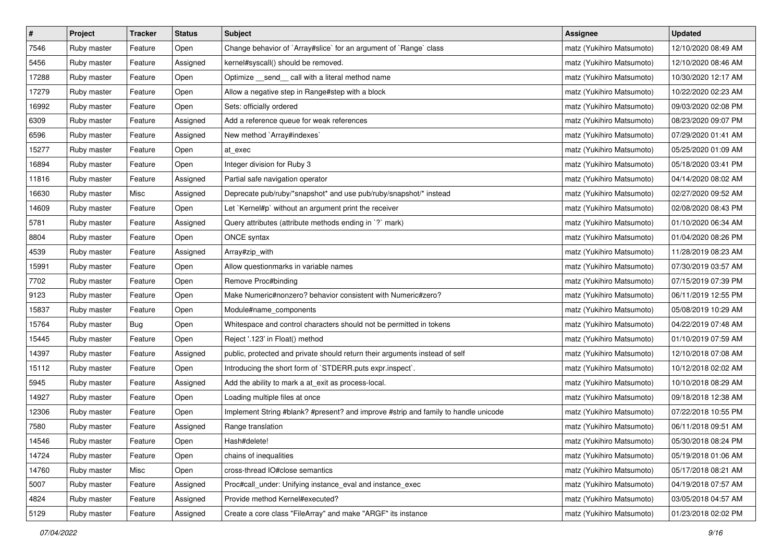| $\pmb{\#}$ | Project     | <b>Tracker</b> | <b>Status</b> | <b>Subject</b>                                                                     | <b>Assignee</b>           | <b>Updated</b>      |
|------------|-------------|----------------|---------------|------------------------------------------------------------------------------------|---------------------------|---------------------|
| 7546       | Ruby master | Feature        | Open          | Change behavior of `Array#slice` for an argument of `Range` class                  | matz (Yukihiro Matsumoto) | 12/10/2020 08:49 AM |
| 5456       | Ruby master | Feature        | Assigned      | kernel#syscall() should be removed.                                                | matz (Yukihiro Matsumoto) | 12/10/2020 08:46 AM |
| 17288      | Ruby master | Feature        | Open          | Optimize _send_ call with a literal method name                                    | matz (Yukihiro Matsumoto) | 10/30/2020 12:17 AM |
| 17279      | Ruby master | Feature        | Open          | Allow a negative step in Range#step with a block                                   | matz (Yukihiro Matsumoto) | 10/22/2020 02:23 AM |
| 16992      | Ruby master | Feature        | Open          | Sets: officially ordered                                                           | matz (Yukihiro Matsumoto) | 09/03/2020 02:08 PM |
| 6309       | Ruby master | Feature        | Assigned      | Add a reference queue for weak references                                          | matz (Yukihiro Matsumoto) | 08/23/2020 09:07 PM |
| 6596       | Ruby master | Feature        | Assigned      | New method `Array#indexes`                                                         | matz (Yukihiro Matsumoto) | 07/29/2020 01:41 AM |
| 15277      | Ruby master | Feature        | Open          | at exec                                                                            | matz (Yukihiro Matsumoto) | 05/25/2020 01:09 AM |
| 16894      | Ruby master | Feature        | Open          | Integer division for Ruby 3                                                        | matz (Yukihiro Matsumoto) | 05/18/2020 03:41 PM |
| 11816      | Ruby master | Feature        | Assigned      | Partial safe navigation operator                                                   | matz (Yukihiro Matsumoto) | 04/14/2020 08:02 AM |
| 16630      | Ruby master | Misc           | Assigned      | Deprecate pub/ruby/*snapshot* and use pub/ruby/snapshot/* instead                  | matz (Yukihiro Matsumoto) | 02/27/2020 09:52 AM |
| 14609      | Ruby master | Feature        | Open          | Let `Kernel#p` without an argument print the receiver                              | matz (Yukihiro Matsumoto) | 02/08/2020 08:43 PM |
| 5781       | Ruby master | Feature        | Assigned      | Query attributes (attribute methods ending in `?` mark)                            | matz (Yukihiro Matsumoto) | 01/10/2020 06:34 AM |
| 8804       | Ruby master | Feature        | Open          | ONCE syntax                                                                        | matz (Yukihiro Matsumoto) | 01/04/2020 08:26 PM |
| 4539       | Ruby master | Feature        | Assigned      | Array#zip_with                                                                     | matz (Yukihiro Matsumoto) | 11/28/2019 08:23 AM |
| 15991      | Ruby master | Feature        | Open          | Allow questionmarks in variable names                                              | matz (Yukihiro Matsumoto) | 07/30/2019 03:57 AM |
| 7702       | Ruby master | Feature        | Open          | Remove Proc#binding                                                                | matz (Yukihiro Matsumoto) | 07/15/2019 07:39 PM |
| 9123       | Ruby master | Feature        | Open          | Make Numeric#nonzero? behavior consistent with Numeric#zero?                       | matz (Yukihiro Matsumoto) | 06/11/2019 12:55 PM |
| 15837      | Ruby master | Feature        | Open          | Module#name_components                                                             | matz (Yukihiro Matsumoto) | 05/08/2019 10:29 AM |
| 15764      | Ruby master | Bug            | Open          | Whitespace and control characters should not be permitted in tokens                | matz (Yukihiro Matsumoto) | 04/22/2019 07:48 AM |
| 15445      | Ruby master | Feature        | Open          | Reject '.123' in Float() method                                                    | matz (Yukihiro Matsumoto) | 01/10/2019 07:59 AM |
| 14397      | Ruby master | Feature        | Assigned      | public, protected and private should return their arguments instead of self        | matz (Yukihiro Matsumoto) | 12/10/2018 07:08 AM |
| 15112      | Ruby master | Feature        | Open          | Introducing the short form of `STDERR.puts expr.inspect`.                          | matz (Yukihiro Matsumoto) | 10/12/2018 02:02 AM |
| 5945       | Ruby master | Feature        | Assigned      | Add the ability to mark a at_exit as process-local.                                | matz (Yukihiro Matsumoto) | 10/10/2018 08:29 AM |
| 14927      | Ruby master | Feature        | Open          | Loading multiple files at once                                                     | matz (Yukihiro Matsumoto) | 09/18/2018 12:38 AM |
| 12306      | Ruby master | Feature        | Open          | Implement String #blank? #present? and improve #strip and family to handle unicode | matz (Yukihiro Matsumoto) | 07/22/2018 10:55 PM |
| 7580       | Ruby master | Feature        | Assigned      | Range translation                                                                  | matz (Yukihiro Matsumoto) | 06/11/2018 09:51 AM |
| 14546      | Ruby master | Feature        | Open          | Hash#delete!                                                                       | matz (Yukihiro Matsumoto) | 05/30/2018 08:24 PM |
| 14724      | Ruby master | Feature        | Open          | chains of inequalities                                                             | matz (Yukihiro Matsumoto) | 05/19/2018 01:06 AM |
| 14760      | Ruby master | Misc           | Open          | cross-thread IO#close semantics                                                    | matz (Yukihiro Matsumoto) | 05/17/2018 08:21 AM |
| 5007       | Ruby master | Feature        | Assigned      | Proc#call_under: Unifying instance_eval and instance_exec                          | matz (Yukihiro Matsumoto) | 04/19/2018 07:57 AM |
| 4824       | Ruby master | Feature        | Assigned      | Provide method Kernel#executed?                                                    | matz (Yukihiro Matsumoto) | 03/05/2018 04:57 AM |
| 5129       | Ruby master | Feature        | Assigned      | Create a core class "FileArray" and make "ARGF" its instance                       | matz (Yukihiro Matsumoto) | 01/23/2018 02:02 PM |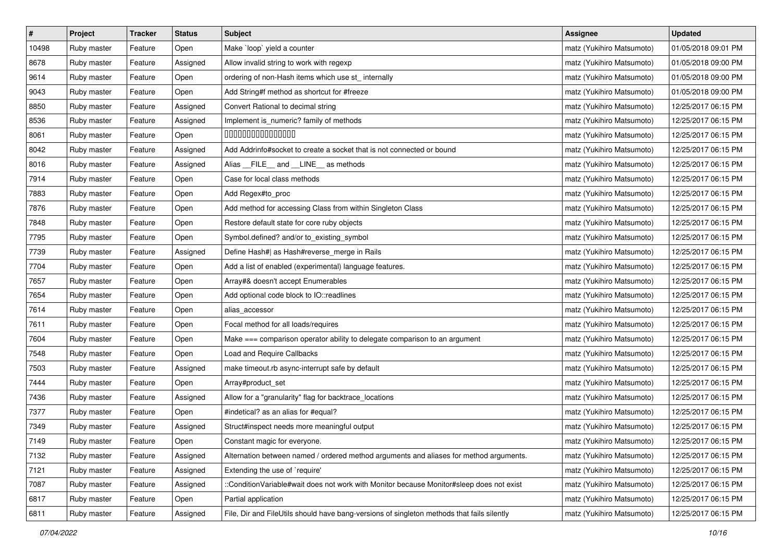| $\vert$ # | Project     | <b>Tracker</b> | <b>Status</b> | <b>Subject</b>                                                                             | <b>Assignee</b>           | <b>Updated</b>      |
|-----------|-------------|----------------|---------------|--------------------------------------------------------------------------------------------|---------------------------|---------------------|
| 10498     | Ruby master | Feature        | Open          | Make `loop` yield a counter                                                                | matz (Yukihiro Matsumoto) | 01/05/2018 09:01 PM |
| 8678      | Ruby master | Feature        | Assigned      | Allow invalid string to work with regexp                                                   | matz (Yukihiro Matsumoto) | 01/05/2018 09:00 PM |
| 9614      | Ruby master | Feature        | Open          | ordering of non-Hash items which use st_internally                                         | matz (Yukihiro Matsumoto) | 01/05/2018 09:00 PM |
| 9043      | Ruby master | Feature        | Open          | Add String#f method as shortcut for #freeze                                                | matz (Yukihiro Matsumoto) | 01/05/2018 09:00 PM |
| 8850      | Ruby master | Feature        | Assigned      | Convert Rational to decimal string                                                         | matz (Yukihiro Matsumoto) | 12/25/2017 06:15 PM |
| 8536      | Ruby master | Feature        | Assigned      | Implement is_numeric? family of methods                                                    | matz (Yukihiro Matsumoto) | 12/25/2017 06:15 PM |
| 8061      | Ruby master | Feature        | Open          | 000000000000000                                                                            | matz (Yukihiro Matsumoto) | 12/25/2017 06:15 PM |
| 8042      | Ruby master | Feature        | Assigned      | Add Addrinfo#socket to create a socket that is not connected or bound                      | matz (Yukihiro Matsumoto) | 12/25/2017 06:15 PM |
| 8016      | Ruby master | Feature        | Assigned      | Alias __FILE__ and __LINE__ as methods                                                     | matz (Yukihiro Matsumoto) | 12/25/2017 06:15 PM |
| 7914      | Ruby master | Feature        | Open          | Case for local class methods                                                               | matz (Yukihiro Matsumoto) | 12/25/2017 06:15 PM |
| 7883      | Ruby master | Feature        | Open          | Add Regex#to_proc                                                                          | matz (Yukihiro Matsumoto) | 12/25/2017 06:15 PM |
| 7876      | Ruby master | Feature        | Open          | Add method for accessing Class from within Singleton Class                                 | matz (Yukihiro Matsumoto) | 12/25/2017 06:15 PM |
| 7848      | Ruby master | Feature        | Open          | Restore default state for core ruby objects                                                | matz (Yukihiro Matsumoto) | 12/25/2017 06:15 PM |
| 7795      | Ruby master | Feature        | Open          | Symbol.defined? and/or to_existing_symbol                                                  | matz (Yukihiro Matsumoto) | 12/25/2017 06:15 PM |
| 7739      | Ruby master | Feature        | Assigned      | Define Hash#  as Hash#reverse_merge in Rails                                               | matz (Yukihiro Matsumoto) | 12/25/2017 06:15 PM |
| 7704      | Ruby master | Feature        | Open          | Add a list of enabled (experimental) language features.                                    | matz (Yukihiro Matsumoto) | 12/25/2017 06:15 PM |
| 7657      | Ruby master | Feature        | Open          | Array#& doesn't accept Enumerables                                                         | matz (Yukihiro Matsumoto) | 12/25/2017 06:15 PM |
| 7654      | Ruby master | Feature        | Open          | Add optional code block to IO::readlines                                                   | matz (Yukihiro Matsumoto) | 12/25/2017 06:15 PM |
| 7614      | Ruby master | Feature        | Open          | alias_accessor                                                                             | matz (Yukihiro Matsumoto) | 12/25/2017 06:15 PM |
| 7611      | Ruby master | Feature        | Open          | Focal method for all loads/requires                                                        | matz (Yukihiro Matsumoto) | 12/25/2017 06:15 PM |
| 7604      | Ruby master | Feature        | Open          | Make === comparison operator ability to delegate comparison to an argument                 | matz (Yukihiro Matsumoto) | 12/25/2017 06:15 PM |
| 7548      | Ruby master | Feature        | Open          | Load and Require Callbacks                                                                 | matz (Yukihiro Matsumoto) | 12/25/2017 06:15 PM |
| 7503      | Ruby master | Feature        | Assigned      | make timeout.rb async-interrupt safe by default                                            | matz (Yukihiro Matsumoto) | 12/25/2017 06:15 PM |
| 7444      | Ruby master | Feature        | Open          | Array#product_set                                                                          | matz (Yukihiro Matsumoto) | 12/25/2017 06:15 PM |
| 7436      | Ruby master | Feature        | Assigned      | Allow for a "granularity" flag for backtrace_locations                                     | matz (Yukihiro Matsumoto) | 12/25/2017 06:15 PM |
| 7377      | Ruby master | Feature        | Open          | #indetical? as an alias for #equal?                                                        | matz (Yukihiro Matsumoto) | 12/25/2017 06:15 PM |
| 7349      | Ruby master | Feature        | Assigned      | Struct#inspect needs more meaningful output                                                | matz (Yukihiro Matsumoto) | 12/25/2017 06:15 PM |
| 7149      | Ruby master | Feature        | Open          | Constant magic for everyone.                                                               | matz (Yukihiro Matsumoto) | 12/25/2017 06:15 PM |
| 7132      | Ruby master | Feature        | Assigned      | Alternation between named / ordered method arguments and aliases for method arguments.     | matz (Yukihiro Matsumoto) | 12/25/2017 06:15 PM |
| 7121      | Ruby master | Feature        | Assigned      | Extending the use of `require'                                                             | matz (Yukihiro Matsumoto) | 12/25/2017 06:15 PM |
| 7087      | Ruby master | Feature        | Assigned      | ::ConditionVariable#wait does not work with Monitor because Monitor#sleep does not exist   | matz (Yukihiro Matsumoto) | 12/25/2017 06:15 PM |
| 6817      | Ruby master | Feature        | Open          | Partial application                                                                        | matz (Yukihiro Matsumoto) | 12/25/2017 06:15 PM |
| 6811      | Ruby master | Feature        | Assigned      | File, Dir and FileUtils should have bang-versions of singleton methods that fails silently | matz (Yukihiro Matsumoto) | 12/25/2017 06:15 PM |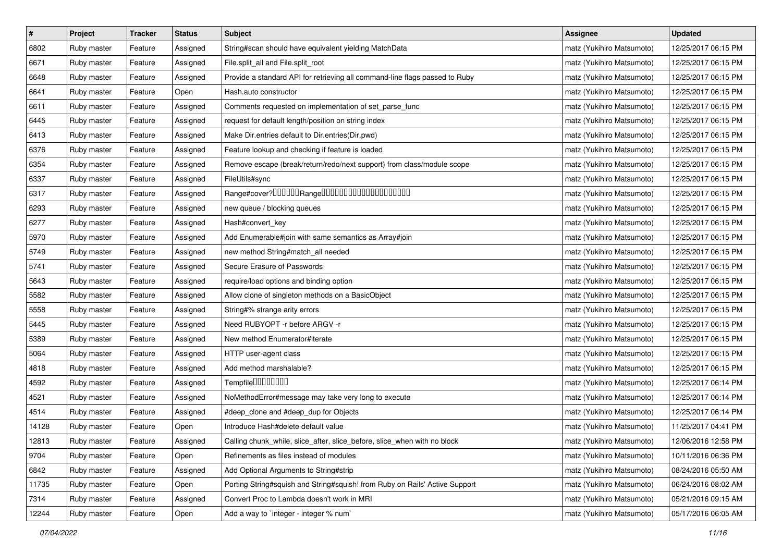| $\pmb{\#}$ | Project     | <b>Tracker</b> | <b>Status</b> | Subject                                                                     | <b>Assignee</b>           | <b>Updated</b>      |
|------------|-------------|----------------|---------------|-----------------------------------------------------------------------------|---------------------------|---------------------|
| 6802       | Ruby master | Feature        | Assigned      | String#scan should have equivalent yielding MatchData                       | matz (Yukihiro Matsumoto) | 12/25/2017 06:15 PM |
| 6671       | Ruby master | Feature        | Assigned      | File.split_all and File.split_root                                          | matz (Yukihiro Matsumoto) | 12/25/2017 06:15 PM |
| 6648       | Ruby master | Feature        | Assigned      | Provide a standard API for retrieving all command-line flags passed to Ruby | matz (Yukihiro Matsumoto) | 12/25/2017 06:15 PM |
| 6641       | Ruby master | Feature        | Open          | Hash.auto constructor                                                       | matz (Yukihiro Matsumoto) | 12/25/2017 06:15 PM |
| 6611       | Ruby master | Feature        | Assigned      | Comments requested on implementation of set_parse_func                      | matz (Yukihiro Matsumoto) | 12/25/2017 06:15 PM |
| 6445       | Ruby master | Feature        | Assigned      | request for default length/position on string index                         | matz (Yukihiro Matsumoto) | 12/25/2017 06:15 PM |
| 6413       | Ruby master | Feature        | Assigned      | Make Dir.entries default to Dir.entries(Dir.pwd)                            | matz (Yukihiro Matsumoto) | 12/25/2017 06:15 PM |
| 6376       | Ruby master | Feature        | Assigned      | Feature lookup and checking if feature is loaded                            | matz (Yukihiro Matsumoto) | 12/25/2017 06:15 PM |
| 6354       | Ruby master | Feature        | Assigned      | Remove escape (break/return/redo/next support) from class/module scope      | matz (Yukihiro Matsumoto) | 12/25/2017 06:15 PM |
| 6337       | Ruby master | Feature        | Assigned      | FileUtils#sync                                                              | matz (Yukihiro Matsumoto) | 12/25/2017 06:15 PM |
| 6317       | Ruby master | Feature        | Assigned      |                                                                             | matz (Yukihiro Matsumoto) | 12/25/2017 06:15 PM |
| 6293       | Ruby master | Feature        | Assigned      | new queue / blocking queues                                                 | matz (Yukihiro Matsumoto) | 12/25/2017 06:15 PM |
| 6277       | Ruby master | Feature        | Assigned      | Hash#convert_key                                                            | matz (Yukihiro Matsumoto) | 12/25/2017 06:15 PM |
| 5970       | Ruby master | Feature        | Assigned      | Add Enumerable#join with same semantics as Array#join                       | matz (Yukihiro Matsumoto) | 12/25/2017 06:15 PM |
| 5749       | Ruby master | Feature        | Assigned      | new method String#match_all needed                                          | matz (Yukihiro Matsumoto) | 12/25/2017 06:15 PM |
| 5741       | Ruby master | Feature        | Assigned      | Secure Erasure of Passwords                                                 | matz (Yukihiro Matsumoto) | 12/25/2017 06:15 PM |
| 5643       | Ruby master | Feature        | Assigned      | require/load options and binding option                                     | matz (Yukihiro Matsumoto) | 12/25/2017 06:15 PM |
| 5582       | Ruby master | Feature        | Assigned      | Allow clone of singleton methods on a BasicObject                           | matz (Yukihiro Matsumoto) | 12/25/2017 06:15 PM |
| 5558       | Ruby master | Feature        | Assigned      | String#% strange arity errors                                               | matz (Yukihiro Matsumoto) | 12/25/2017 06:15 PM |
| 5445       | Ruby master | Feature        | Assigned      | Need RUBYOPT - r before ARGV - r                                            | matz (Yukihiro Matsumoto) | 12/25/2017 06:15 PM |
| 5389       | Ruby master | Feature        | Assigned      | New method Enumerator#iterate                                               | matz (Yukihiro Matsumoto) | 12/25/2017 06:15 PM |
| 5064       | Ruby master | Feature        | Assigned      | HTTP user-agent class                                                       | matz (Yukihiro Matsumoto) | 12/25/2017 06:15 PM |
| 4818       | Ruby master | Feature        | Assigned      | Add method marshalable?                                                     | matz (Yukihiro Matsumoto) | 12/25/2017 06:15 PM |
| 4592       | Ruby master | Feature        | Assigned      | Tempfile0000000                                                             | matz (Yukihiro Matsumoto) | 12/25/2017 06:14 PM |
| 4521       | Ruby master | Feature        | Assigned      | NoMethodError#message may take very long to execute                         | matz (Yukihiro Matsumoto) | 12/25/2017 06:14 PM |
| 4514       | Ruby master | Feature        | Assigned      | #deep_clone and #deep_dup for Objects                                       | matz (Yukihiro Matsumoto) | 12/25/2017 06:14 PM |
| 14128      | Ruby master | Feature        | Open          | Introduce Hash#delete default value                                         | matz (Yukihiro Matsumoto) | 11/25/2017 04:41 PM |
| 12813      | Ruby master | Feature        | Assigned      | Calling chunk_while, slice_after, slice_before, slice_when with no block    | matz (Yukihiro Matsumoto) | 12/06/2016 12:58 PM |
| 9704       | Ruby master | Feature        | Open          | Refinements as files instead of modules                                     | matz (Yukihiro Matsumoto) | 10/11/2016 06:36 PM |
| 6842       | Ruby master | Feature        | Assigned      | Add Optional Arguments to String#strip                                      | matz (Yukihiro Matsumoto) | 08/24/2016 05:50 AM |
| 11735      | Ruby master | Feature        | Open          | Porting String#squish and String#squish! from Ruby on Rails' Active Support | matz (Yukihiro Matsumoto) | 06/24/2016 08:02 AM |
| 7314       | Ruby master | Feature        | Assigned      | Convert Proc to Lambda doesn't work in MRI                                  | matz (Yukihiro Matsumoto) | 05/21/2016 09:15 AM |
| 12244      | Ruby master | Feature        | Open          | Add a way to `integer - integer % num`                                      | matz (Yukihiro Matsumoto) | 05/17/2016 06:05 AM |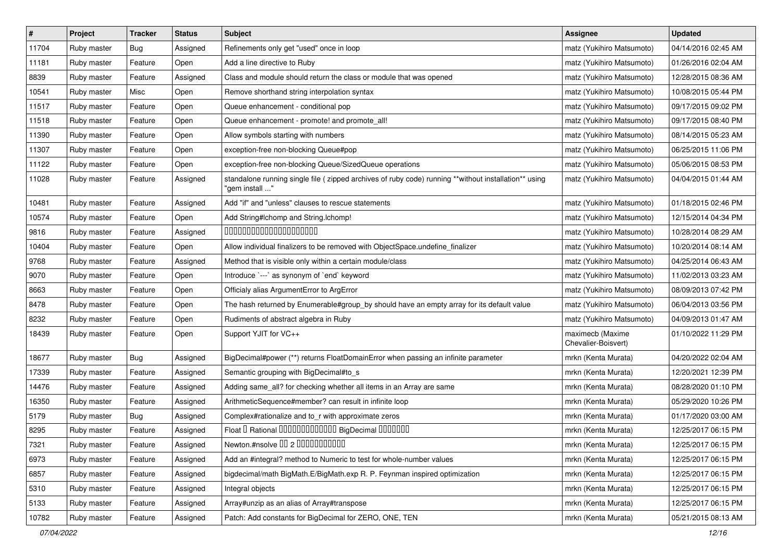| $\sharp$ | Project     | <b>Tracker</b> | <b>Status</b> | Subject                                                                                                                 | <b>Assignee</b>                         | <b>Updated</b>      |
|----------|-------------|----------------|---------------|-------------------------------------------------------------------------------------------------------------------------|-----------------------------------------|---------------------|
| 11704    | Ruby master | <b>Bug</b>     | Assigned      | Refinements only get "used" once in loop                                                                                | matz (Yukihiro Matsumoto)               | 04/14/2016 02:45 AM |
| 11181    | Ruby master | Feature        | Open          | Add a line directive to Ruby                                                                                            | matz (Yukihiro Matsumoto)               | 01/26/2016 02:04 AM |
| 8839     | Ruby master | Feature        | Assigned      | Class and module should return the class or module that was opened                                                      | matz (Yukihiro Matsumoto)               | 12/28/2015 08:36 AM |
| 10541    | Ruby master | Misc           | Open          | Remove shorthand string interpolation syntax                                                                            | matz (Yukihiro Matsumoto)               | 10/08/2015 05:44 PM |
| 11517    | Ruby master | Feature        | Open          | Queue enhancement - conditional pop                                                                                     | matz (Yukihiro Matsumoto)               | 09/17/2015 09:02 PM |
| 11518    | Ruby master | Feature        | Open          | Queue enhancement - promote! and promote all!                                                                           | matz (Yukihiro Matsumoto)               | 09/17/2015 08:40 PM |
| 11390    | Ruby master | Feature        | Open          | Allow symbols starting with numbers                                                                                     | matz (Yukihiro Matsumoto)               | 08/14/2015 05:23 AM |
| 11307    | Ruby master | Feature        | Open          | exception-free non-blocking Queue#pop                                                                                   | matz (Yukihiro Matsumoto)               | 06/25/2015 11:06 PM |
| 11122    | Ruby master | Feature        | Open          | exception-free non-blocking Queue/SizedQueue operations                                                                 | matz (Yukihiro Matsumoto)               | 05/06/2015 08:53 PM |
| 11028    | Ruby master | Feature        | Assigned      | standalone running single file ( zipped archives of ruby code) running **without installation** using<br>"gem install " | matz (Yukihiro Matsumoto)               | 04/04/2015 01:44 AM |
| 10481    | Ruby master | Feature        | Assigned      | Add "if" and "unless" clauses to rescue statements                                                                      | matz (Yukihiro Matsumoto)               | 01/18/2015 02:46 PM |
| 10574    | Ruby master | Feature        | Open          | Add String#Ichomp and String.Ichomp!                                                                                    | matz (Yukihiro Matsumoto)               | 12/15/2014 04:34 PM |
| 9816     | Ruby master | Feature        | Assigned      | 00000000000000000000                                                                                                    | matz (Yukihiro Matsumoto)               | 10/28/2014 08:29 AM |
| 10404    | Ruby master | Feature        | Open          | Allow individual finalizers to be removed with ObjectSpace.undefine_finalizer                                           | matz (Yukihiro Matsumoto)               | 10/20/2014 08:14 AM |
| 9768     | Ruby master | Feature        | Assigned      | Method that is visible only within a certain module/class                                                               | matz (Yukihiro Matsumoto)               | 04/25/2014 06:43 AM |
| 9070     | Ruby master | Feature        | Open          | Introduce `---` as synonym of `end` keyword                                                                             | matz (Yukihiro Matsumoto)               | 11/02/2013 03:23 AM |
| 8663     | Ruby master | Feature        | Open          | Officialy alias ArgumentError to ArgError                                                                               | matz (Yukihiro Matsumoto)               | 08/09/2013 07:42 PM |
| 8478     | Ruby master | Feature        | Open          | The hash returned by Enumerable#group_by should have an empty array for its default value                               | matz (Yukihiro Matsumoto)               | 06/04/2013 03:56 PM |
| 8232     | Ruby master | Feature        | Open          | Rudiments of abstract algebra in Ruby                                                                                   | matz (Yukihiro Matsumoto)               | 04/09/2013 01:47 AM |
| 18439    | Ruby master | Feature        | Open          | Support YJIT for VC++                                                                                                   | maximecb (Maxime<br>Chevalier-Boisvert) | 01/10/2022 11:29 PM |
| 18677    | Ruby master | Bug            | Assigned      | BigDecimal#power (**) returns FloatDomainError when passing an infinite parameter                                       | mrkn (Kenta Murata)                     | 04/20/2022 02:04 AM |
| 17339    | Ruby master | Feature        | Assigned      | Semantic grouping with BigDecimal#to_s                                                                                  | mrkn (Kenta Murata)                     | 12/20/2021 12:39 PM |
| 14476    | Ruby master | Feature        | Assigned      | Adding same_all? for checking whether all items in an Array are same                                                    | mrkn (Kenta Murata)                     | 08/28/2020 01:10 PM |
| 16350    | Ruby master | Feature        | Assigned      | ArithmeticSequence#member? can result in infinite loop                                                                  | mrkn (Kenta Murata)                     | 05/29/2020 10:26 PM |
| 5179     | Ruby master | Bug            | Assigned      | Complex#rationalize and to_r with approximate zeros                                                                     | mrkn (Kenta Murata)                     | 01/17/2020 03:00 AM |
| 8295     | Ruby master | Feature        | Assigned      | Float I Rational 0000000000000 BigDecimal 0000000                                                                       | mrkn (Kenta Murata)                     | 12/25/2017 06:15 PM |
| 7321     | Ruby master | Feature        | Assigned      | Newton.#nsolve 00 2 00000000000                                                                                         | mrkn (Kenta Murata)                     | 12/25/2017 06:15 PM |
| 6973     | Ruby master | Feature        | Assigned      | Add an #integral? method to Numeric to test for whole-number values                                                     | mrkn (Kenta Murata)                     | 12/25/2017 06:15 PM |
| 6857     | Ruby master | Feature        | Assigned      | bigdecimal/math BigMath.E/BigMath.exp R. P. Feynman inspired optimization                                               | mrkn (Kenta Murata)                     | 12/25/2017 06:15 PM |
| 5310     | Ruby master | Feature        | Assigned      | Integral objects                                                                                                        | mrkn (Kenta Murata)                     | 12/25/2017 06:15 PM |
| 5133     | Ruby master | Feature        | Assigned      | Array#unzip as an alias of Array#transpose                                                                              | mrkn (Kenta Murata)                     | 12/25/2017 06:15 PM |
| 10782    | Ruby master | Feature        | Assigned      | Patch: Add constants for BigDecimal for ZERO, ONE, TEN                                                                  | mrkn (Kenta Murata)                     | 05/21/2015 08:13 AM |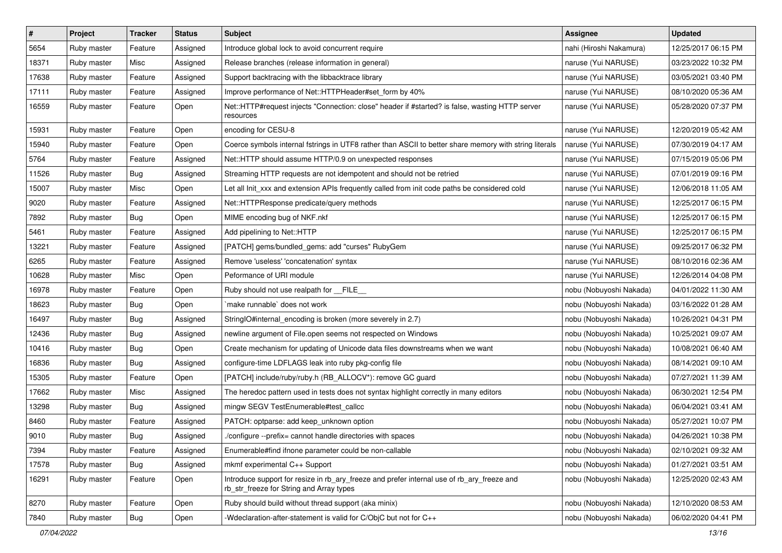| $\vert$ # | Project     | <b>Tracker</b> | <b>Status</b> | Subject                                                                                                                                | Assignee                | <b>Updated</b>      |
|-----------|-------------|----------------|---------------|----------------------------------------------------------------------------------------------------------------------------------------|-------------------------|---------------------|
| 5654      | Ruby master | Feature        | Assigned      | Introduce global lock to avoid concurrent require                                                                                      | nahi (Hiroshi Nakamura) | 12/25/2017 06:15 PM |
| 18371     | Ruby master | Misc           | Assigned      | Release branches (release information in general)                                                                                      | naruse (Yui NARUSE)     | 03/23/2022 10:32 PM |
| 17638     | Ruby master | Feature        | Assigned      | Support backtracing with the libbacktrace library                                                                                      | naruse (Yui NARUSE)     | 03/05/2021 03:40 PM |
| 17111     | Ruby master | Feature        | Assigned      | Improve performance of Net::HTTPHeader#set_form by 40%                                                                                 | naruse (Yui NARUSE)     | 08/10/2020 05:36 AM |
| 16559     | Ruby master | Feature        | Open          | Net::HTTP#request injects "Connection: close" header if #started? is false, wasting HTTP server<br>resources                           | naruse (Yui NARUSE)     | 05/28/2020 07:37 PM |
| 15931     | Ruby master | Feature        | Open          | encoding for CESU-8                                                                                                                    | naruse (Yui NARUSE)     | 12/20/2019 05:42 AM |
| 15940     | Ruby master | Feature        | Open          | Coerce symbols internal fstrings in UTF8 rather than ASCII to better share memory with string literals                                 | naruse (Yui NARUSE)     | 07/30/2019 04:17 AM |
| 5764      | Ruby master | Feature        | Assigned      | Net::HTTP should assume HTTP/0.9 on unexpected responses                                                                               | naruse (Yui NARUSE)     | 07/15/2019 05:06 PM |
| 11526     | Ruby master | Bug            | Assigned      | Streaming HTTP requests are not idempotent and should not be retried                                                                   | naruse (Yui NARUSE)     | 07/01/2019 09:16 PM |
| 15007     | Ruby master | Misc           | Open          | Let all Init_xxx and extension APIs frequently called from init code paths be considered cold                                          | naruse (Yui NARUSE)     | 12/06/2018 11:05 AM |
| 9020      | Ruby master | Feature        | Assigned      | Net::HTTPResponse predicate/query methods                                                                                              | naruse (Yui NARUSE)     | 12/25/2017 06:15 PM |
| 7892      | Ruby master | Bug            | Open          | MIME encoding bug of NKF.nkf                                                                                                           | naruse (Yui NARUSE)     | 12/25/2017 06:15 PM |
| 5461      | Ruby master | Feature        | Assigned      | Add pipelining to Net::HTTP                                                                                                            | naruse (Yui NARUSE)     | 12/25/2017 06:15 PM |
| 13221     | Ruby master | Feature        | Assigned      | [PATCH] gems/bundled_gems: add "curses" RubyGem                                                                                        | naruse (Yui NARUSE)     | 09/25/2017 06:32 PM |
| 6265      | Ruby master | Feature        | Assigned      | Remove 'useless' 'concatenation' syntax                                                                                                | naruse (Yui NARUSE)     | 08/10/2016 02:36 AM |
| 10628     | Ruby master | Misc           | Open          | Peformance of URI module                                                                                                               | naruse (Yui NARUSE)     | 12/26/2014 04:08 PM |
| 16978     | Ruby master | Feature        | Open          | Ruby should not use realpath for __FILE__                                                                                              | nobu (Nobuyoshi Nakada) | 04/01/2022 11:30 AM |
| 18623     | Ruby master | <b>Bug</b>     | Open          | `make runnable` does not work                                                                                                          | nobu (Nobuyoshi Nakada) | 03/16/2022 01:28 AM |
| 16497     | Ruby master | Bug            | Assigned      | StringIO#internal_encoding is broken (more severely in 2.7)                                                                            | nobu (Nobuyoshi Nakada) | 10/26/2021 04:31 PM |
| 12436     | Ruby master | Bug            | Assigned      | newline argument of File.open seems not respected on Windows                                                                           | nobu (Nobuyoshi Nakada) | 10/25/2021 09:07 AM |
| 10416     | Ruby master | Bug            | Open          | Create mechanism for updating of Unicode data files downstreams when we want                                                           | nobu (Nobuyoshi Nakada) | 10/08/2021 06:40 AM |
| 16836     | Ruby master | Bug            | Assigned      | configure-time LDFLAGS leak into ruby pkg-config file                                                                                  | nobu (Nobuyoshi Nakada) | 08/14/2021 09:10 AM |
| 15305     | Ruby master | Feature        | Open          | [PATCH] include/ruby/ruby.h (RB_ALLOCV*): remove GC guard                                                                              | nobu (Nobuyoshi Nakada) | 07/27/2021 11:39 AM |
| 17662     | Ruby master | Misc           | Assigned      | The heredoc pattern used in tests does not syntax highlight correctly in many editors                                                  | nobu (Nobuyoshi Nakada) | 06/30/2021 12:54 PM |
| 13298     | Ruby master | Bug            | Assigned      | mingw SEGV TestEnumerable#test_callcc                                                                                                  | nobu (Nobuyoshi Nakada) | 06/04/2021 03:41 AM |
| 8460      | Ruby master | Feature        | Assigned      | PATCH: optparse: add keep unknown option                                                                                               | nobu (Nobuyoshi Nakada) | 05/27/2021 10:07 PM |
| 9010      | Ruby master | <b>Bug</b>     | Assigned      | /configure --prefix= cannot handle directories with spaces                                                                             | nobu (Nobuyoshi Nakada) | 04/26/2021 10:38 PM |
| 7394      | Ruby master | Feature        | Assigned      | Enumerable#find ifnone parameter could be non-callable                                                                                 | nobu (Nobuyoshi Nakada) | 02/10/2021 09:32 AM |
| 17578     | Ruby master | Bug            | Assigned      | mkmf experimental C++ Support                                                                                                          | nobu (Nobuyoshi Nakada) | 01/27/2021 03:51 AM |
| 16291     | Ruby master | Feature        | Open          | Introduce support for resize in rb_ary_freeze and prefer internal use of rb_ary_freeze and<br>rb_str_freeze for String and Array types | nobu (Nobuyoshi Nakada) | 12/25/2020 02:43 AM |
| 8270      | Ruby master | Feature        | Open          | Ruby should build without thread support (aka minix)                                                                                   | nobu (Nobuyoshi Nakada) | 12/10/2020 08:53 AM |
| 7840      | Ruby master | <b>Bug</b>     | Open          | -Wdeclaration-after-statement is valid for C/ObjC but not for C++                                                                      | nobu (Nobuyoshi Nakada) | 06/02/2020 04:41 PM |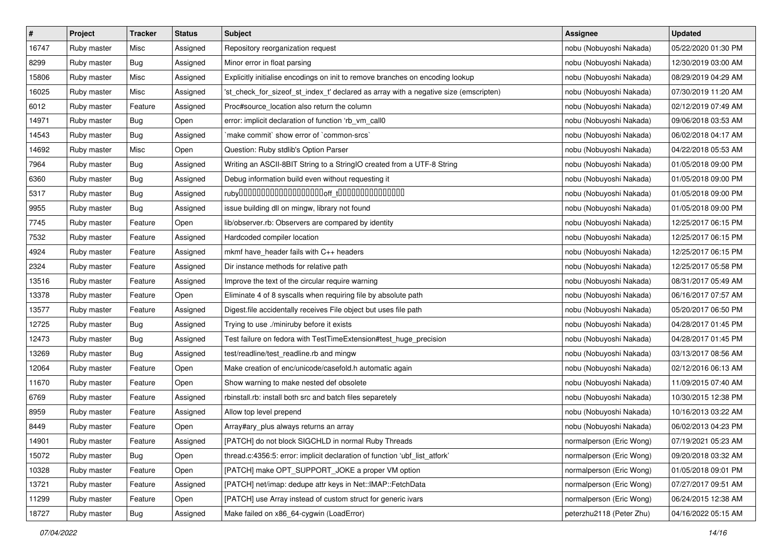| $\pmb{\#}$ | Project     | <b>Tracker</b> | <b>Status</b> | <b>Subject</b>                                                                       | <b>Assignee</b>          | <b>Updated</b>      |
|------------|-------------|----------------|---------------|--------------------------------------------------------------------------------------|--------------------------|---------------------|
| 16747      | Ruby master | Misc           | Assigned      | Repository reorganization request                                                    | nobu (Nobuyoshi Nakada)  | 05/22/2020 01:30 PM |
| 8299       | Ruby master | Bug            | Assigned      | Minor error in float parsing                                                         | nobu (Nobuyoshi Nakada)  | 12/30/2019 03:00 AM |
| 15806      | Ruby master | Misc           | Assigned      | Explicitly initialise encodings on init to remove branches on encoding lookup        | nobu (Nobuyoshi Nakada)  | 08/29/2019 04:29 AM |
| 16025      | Ruby master | Misc           | Assigned      | 'st_check_for_sizeof_st_index_t' declared as array with a negative size (emscripten) | nobu (Nobuyoshi Nakada)  | 07/30/2019 11:20 AM |
| 6012       | Ruby master | Feature        | Assigned      | Proc#source_location also return the column                                          | nobu (Nobuyoshi Nakada)  | 02/12/2019 07:49 AM |
| 14971      | Ruby master | Bug            | Open          | error: implicit declaration of function 'rb_vm_call0                                 | nobu (Nobuyoshi Nakada)  | 09/06/2018 03:53 AM |
| 14543      | Ruby master | Bug            | Assigned      | 'make commit' show error of 'common-srcs'                                            | nobu (Nobuyoshi Nakada)  | 06/02/2018 04:17 AM |
| 14692      | Ruby master | Misc           | Open          | Question: Ruby stdlib's Option Parser                                                | nobu (Nobuyoshi Nakada)  | 04/22/2018 05:53 AM |
| 7964       | Ruby master | <b>Bug</b>     | Assigned      | Writing an ASCII-8BIT String to a StringIO created from a UTF-8 String               | nobu (Nobuyoshi Nakada)  | 01/05/2018 09:00 PM |
| 6360       | Ruby master | Bug            | Assigned      | Debug information build even without requesting it                                   | nobu (Nobuyoshi Nakada)  | 01/05/2018 09:00 PM |
| 5317       | Ruby master | <b>Bug</b>     | Assigned      |                                                                                      | nobu (Nobuyoshi Nakada)  | 01/05/2018 09:00 PM |
| 9955       | Ruby master | Bug            | Assigned      | issue building dll on mingw, library not found                                       | nobu (Nobuyoshi Nakada)  | 01/05/2018 09:00 PM |
| 7745       | Ruby master | Feature        | Open          | lib/observer.rb: Observers are compared by identity                                  | nobu (Nobuyoshi Nakada)  | 12/25/2017 06:15 PM |
| 7532       | Ruby master | Feature        | Assigned      | Hardcoded compiler location                                                          | nobu (Nobuyoshi Nakada)  | 12/25/2017 06:15 PM |
| 4924       | Ruby master | Feature        | Assigned      | mkmf have_header fails with C++ headers                                              | nobu (Nobuyoshi Nakada)  | 12/25/2017 06:15 PM |
| 2324       | Ruby master | Feature        | Assigned      | Dir instance methods for relative path                                               | nobu (Nobuyoshi Nakada)  | 12/25/2017 05:58 PM |
| 13516      | Ruby master | Feature        | Assigned      | Improve the text of the circular require warning                                     | nobu (Nobuyoshi Nakada)  | 08/31/2017 05:49 AM |
| 13378      | Ruby master | Feature        | Open          | Eliminate 4 of 8 syscalls when requiring file by absolute path                       | nobu (Nobuyoshi Nakada)  | 06/16/2017 07:57 AM |
| 13577      | Ruby master | Feature        | Assigned      | Digest file accidentally receives File object but uses file path                     | nobu (Nobuyoshi Nakada)  | 05/20/2017 06:50 PM |
| 12725      | Ruby master | Bug            | Assigned      | Trying to use ./miniruby before it exists                                            | nobu (Nobuyoshi Nakada)  | 04/28/2017 01:45 PM |
| 12473      | Ruby master | Bug            | Assigned      | Test failure on fedora with TestTimeExtension#test_huge_precision                    | nobu (Nobuyoshi Nakada)  | 04/28/2017 01:45 PM |
| 13269      | Ruby master | <b>Bug</b>     | Assigned      | test/readline/test_readline.rb and mingw                                             | nobu (Nobuyoshi Nakada)  | 03/13/2017 08:56 AM |
| 12064      | Ruby master | Feature        | Open          | Make creation of enc/unicode/casefold.h automatic again                              | nobu (Nobuyoshi Nakada)  | 02/12/2016 06:13 AM |
| 11670      | Ruby master | Feature        | Open          | Show warning to make nested def obsolete                                             | nobu (Nobuyoshi Nakada)  | 11/09/2015 07:40 AM |
| 6769       | Ruby master | Feature        | Assigned      | rbinstall.rb: install both src and batch files separetely                            | nobu (Nobuyoshi Nakada)  | 10/30/2015 12:38 PM |
| 8959       | Ruby master | Feature        | Assigned      | Allow top level prepend                                                              | nobu (Nobuyoshi Nakada)  | 10/16/2013 03:22 AM |
| 8449       | Ruby master | Feature        | Open          | Array#ary_plus always returns an array                                               | nobu (Nobuyoshi Nakada)  | 06/02/2013 04:23 PM |
| 14901      | Ruby master | Feature        | Assigned      | [PATCH] do not block SIGCHLD in normal Ruby Threads                                  | normalperson (Eric Wong) | 07/19/2021 05:23 AM |
| 15072      | Ruby master | Bug            | Open          | thread.c:4356:5: error: implicit declaration of function 'ubf list atfork'           | normalperson (Eric Wong) | 09/20/2018 03:32 AM |
| 10328      | Ruby master | Feature        | Open          | [PATCH] make OPT_SUPPORT_JOKE a proper VM option                                     | normalperson (Eric Wong) | 01/05/2018 09:01 PM |
| 13721      | Ruby master | Feature        | Assigned      | [PATCH] net/imap: dedupe attr keys in Net::IMAP::FetchData                           | normalperson (Eric Wong) | 07/27/2017 09:51 AM |
| 11299      | Ruby master | Feature        | Open          | [PATCH] use Array instead of custom struct for generic ivars                         | normalperson (Eric Wong) | 06/24/2015 12:38 AM |
| 18727      | Ruby master | <b>Bug</b>     | Assigned      | Make failed on x86_64-cygwin (LoadError)                                             | peterzhu2118 (Peter Zhu) | 04/16/2022 05:15 AM |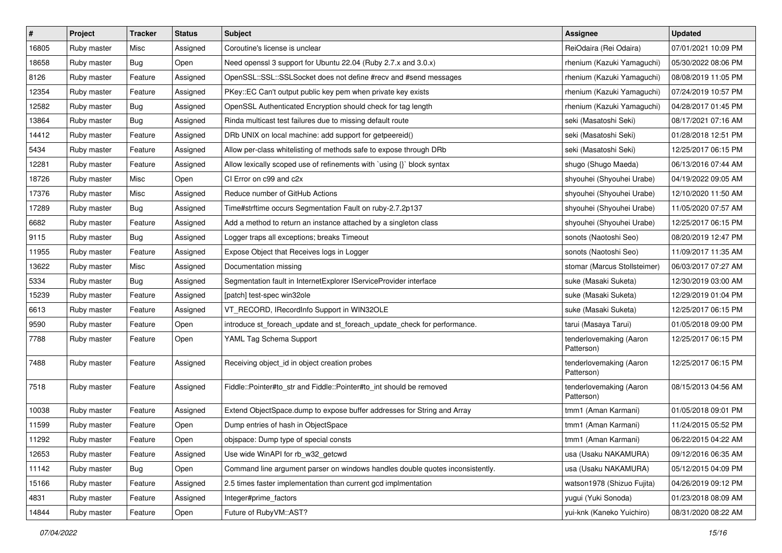| $\pmb{\#}$ | Project     | <b>Tracker</b> | <b>Status</b> | <b>Subject</b>                                                                | <b>Assignee</b>                       | <b>Updated</b>      |
|------------|-------------|----------------|---------------|-------------------------------------------------------------------------------|---------------------------------------|---------------------|
| 16805      | Ruby master | Misc           | Assigned      | Coroutine's license is unclear                                                | ReiOdaira (Rei Odaira)                | 07/01/2021 10:09 PM |
| 18658      | Ruby master | Bug            | Open          | Need openssl 3 support for Ubuntu 22.04 (Ruby 2.7.x and 3.0.x)                | rhenium (Kazuki Yamaguchi)            | 05/30/2022 08:06 PM |
| 8126       | Ruby master | Feature        | Assigned      | OpenSSL::SSL::SSLSocket does not define #recv and #send messages              | rhenium (Kazuki Yamaguchi)            | 08/08/2019 11:05 PM |
| 12354      | Ruby master | Feature        | Assigned      | PKey::EC Can't output public key pem when private key exists                  | rhenium (Kazuki Yamaguchi)            | 07/24/2019 10:57 PM |
| 12582      | Ruby master | Bug            | Assigned      | OpenSSL Authenticated Encryption should check for tag length                  | rhenium (Kazuki Yamaguchi)            | 04/28/2017 01:45 PM |
| 13864      | Ruby master | <b>Bug</b>     | Assigned      | Rinda multicast test failures due to missing default route                    | seki (Masatoshi Seki)                 | 08/17/2021 07:16 AM |
| 14412      | Ruby master | Feature        | Assigned      | DRb UNIX on local machine: add support for getpeereid()                       | seki (Masatoshi Seki)                 | 01/28/2018 12:51 PM |
| 5434       | Ruby master | Feature        | Assigned      | Allow per-class whitelisting of methods safe to expose through DRb            | seki (Masatoshi Seki)                 | 12/25/2017 06:15 PM |
| 12281      | Ruby master | Feature        | Assigned      | Allow lexically scoped use of refinements with `using {}` block syntax        | shugo (Shugo Maeda)                   | 06/13/2016 07:44 AM |
| 18726      | Ruby master | Misc           | Open          | CI Error on c99 and c2x                                                       | shyouhei (Shyouhei Urabe)             | 04/19/2022 09:05 AM |
| 17376      | Ruby master | Misc           | Assigned      | Reduce number of GitHub Actions                                               | shyouhei (Shyouhei Urabe)             | 12/10/2020 11:50 AM |
| 17289      | Ruby master | Bug            | Assigned      | Time#strftime occurs Segmentation Fault on ruby-2.7.2p137                     | shyouhei (Shyouhei Urabe)             | 11/05/2020 07:57 AM |
| 6682       | Ruby master | Feature        | Assigned      | Add a method to return an instance attached by a singleton class              | shyouhei (Shyouhei Urabe)             | 12/25/2017 06:15 PM |
| 9115       | Ruby master | Bug            | Assigned      | Logger traps all exceptions; breaks Timeout                                   | sonots (Naotoshi Seo)                 | 08/20/2019 12:47 PM |
| 11955      | Ruby master | Feature        | Assigned      | Expose Object that Receives logs in Logger                                    | sonots (Naotoshi Seo)                 | 11/09/2017 11:35 AM |
| 13622      | Ruby master | Misc           | Assigned      | Documentation missing                                                         | stomar (Marcus Stollsteimer)          | 06/03/2017 07:27 AM |
| 5334       | Ruby master | Bug            | Assigned      | Segmentation fault in InternetExplorer IServiceProvider interface             | suke (Masaki Suketa)                  | 12/30/2019 03:00 AM |
| 15239      | Ruby master | Feature        | Assigned      | [patch] test-spec win32ole                                                    | suke (Masaki Suketa)                  | 12/29/2019 01:04 PM |
| 6613       | Ruby master | Feature        | Assigned      | VT_RECORD, IRecordInfo Support in WIN32OLE                                    | suke (Masaki Suketa)                  | 12/25/2017 06:15 PM |
| 9590       | Ruby master | Feature        | Open          | introduce st_foreach_update and st_foreach_update_check for performance.      | tarui (Masaya Tarui)                  | 01/05/2018 09:00 PM |
| 7788       | Ruby master | Feature        | Open          | YAML Tag Schema Support                                                       | tenderlovemaking (Aaron<br>Patterson) | 12/25/2017 06:15 PM |
| 7488       | Ruby master | Feature        | Assigned      | Receiving object_id in object creation probes                                 | tenderlovemaking (Aaron<br>Patterson) | 12/25/2017 06:15 PM |
| 7518       | Ruby master | Feature        | Assigned      | Fiddle::Pointer#to_str and Fiddle::Pointer#to_int should be removed           | tenderlovemaking (Aaron<br>Patterson) | 08/15/2013 04:56 AM |
| 10038      | Ruby master | Feature        | Assigned      | Extend ObjectSpace.dump to expose buffer addresses for String and Array       | tmm1 (Aman Karmani)                   | 01/05/2018 09:01 PM |
| 11599      | Ruby master | Feature        | Open          | Dump entries of hash in ObjectSpace                                           | tmm1 (Aman Karmani)                   | 11/24/2015 05:52 PM |
| 11292      | Ruby master | Feature        | Open          | objspace: Dump type of special consts                                         | tmm1 (Aman Karmani)                   | 06/22/2015 04:22 AM |
| 12653      | Ruby master | Feature        | Assigned      | Use wide WinAPI for rb_w32_getcwd                                             | usa (Usaku NAKAMURA)                  | 09/12/2016 06:35 AM |
| 11142      | Ruby master | Bug            | Open          | Command line argument parser on windows handles double quotes inconsistently. | usa (Usaku NAKAMURA)                  | 05/12/2015 04:09 PM |
| 15166      | Ruby master | Feature        | Assigned      | 2.5 times faster implementation than current gcd implmentation                | watson1978 (Shizuo Fujita)            | 04/26/2019 09:12 PM |
| 4831       | Ruby master | Feature        | Assigned      | Integer#prime factors                                                         | yugui (Yuki Sonoda)                   | 01/23/2018 08:09 AM |
| 14844      | Ruby master | Feature        | Open          | Future of RubyVM::AST?                                                        | yui-knk (Kaneko Yuichiro)             | 08/31/2020 08:22 AM |